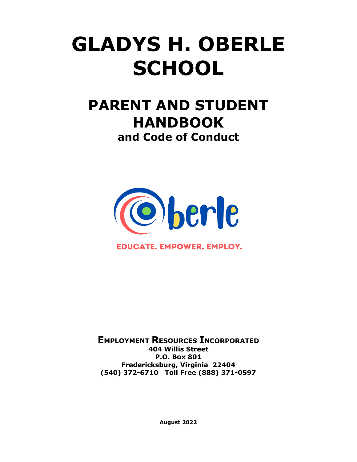# **GLADYS H. OBERLE SCHOOL**

## **PARENT AND STUDENT HANDBOOK and Code of Conduct**



**EDUCATE. EMPOWER. EMPLOY.** 

**EMPLOYMENT RESOURCES INCORPORATED 404 Willis Street P.O. Box 801 Fredericksburg, Virginia 22404 (540) 372-6710 Toll Free (888) 371-0597**

**August 2022**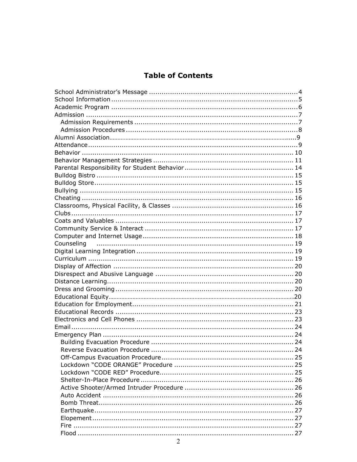### **Table of Contents**

| Counseling |  |
|------------|--|
|            |  |
|            |  |
|            |  |
|            |  |
|            |  |
|            |  |
|            |  |
|            |  |
|            |  |
|            |  |
|            |  |
|            |  |
|            |  |
|            |  |
|            |  |
|            |  |
|            |  |
|            |  |
|            |  |
|            |  |
|            |  |
|            |  |
|            |  |
|            |  |
|            |  |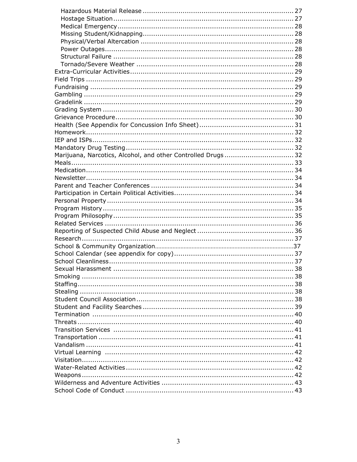| Marijuana, Narcotics, Alcohol, and other Controlled Drugs32 |  |
|-------------------------------------------------------------|--|
|                                                             |  |
|                                                             |  |
|                                                             |  |
|                                                             |  |
|                                                             |  |
|                                                             |  |
|                                                             |  |
|                                                             |  |
|                                                             |  |
|                                                             |  |
|                                                             |  |
|                                                             |  |
|                                                             |  |
|                                                             |  |
|                                                             |  |
|                                                             |  |
|                                                             |  |
|                                                             |  |
|                                                             |  |
|                                                             |  |
|                                                             |  |
|                                                             |  |
|                                                             |  |
|                                                             |  |
|                                                             |  |
|                                                             |  |
|                                                             |  |
|                                                             |  |
|                                                             |  |
|                                                             |  |
|                                                             |  |
|                                                             |  |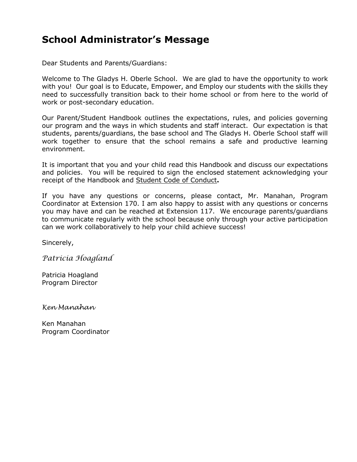### **School Administrator's Message**

Dear Students and Parents/Guardians:

Welcome to The Gladys H. Oberle School. We are glad to have the opportunity to work with you! Our goal is to Educate, Empower, and Employ our students with the skills they need to successfully transition back to their home school or from here to the world of work or post-secondary education.

Our Parent/Student Handbook outlines the expectations, rules, and policies governing our program and the ways in which students and staff interact. Our expectation is that students, parents/guardians, the base school and The Gladys H. Oberle School staff will work together to ensure that the school remains a safe and productive learning environment.

It is important that you and your child read this Handbook and discuss our expectations and policies. You will be required to sign the enclosed statement acknowledging your receipt of the Handbook and Student Code of Conduct**.**

If you have any questions or concerns, please contact, Mr. Manahan, Program Coordinator at Extension 170. I am also happy to assist with any questions or concerns you may have and can be reached at Extension 117. We encourage parents/guardians to communicate regularly with the school because only through your active participation can we work collaboratively to help your child achieve success!

Sincerely,

*Patricia Hoagland*

Patricia Hoagland Program Director

*Ken Manahan*

Ken Manahan Program Coordinator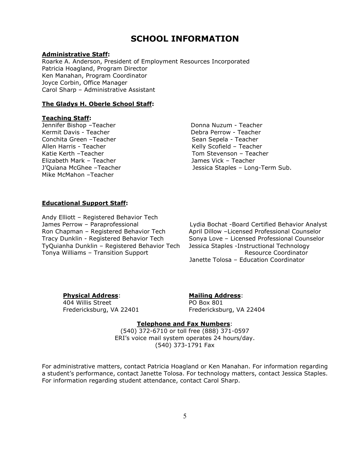### **SCHOOL INFORMATION**

#### **Administrative Staff:**

Roarke A. Anderson, President of Employment Resources Incorporated Patricia Hoagland, Program Director Ken Manahan, Program Coordinator Joyce Corbin, Office Manager Carol Sharp – Administrative Assistant

#### **The Gladys H. Oberle School Staff:**

#### **Teaching Staff:**

Jennifer Bishop - Teacher **Donna Nuzum - Teacher** Kermit Davis - Teacher **Debra Perrow - Teacher** Debra Perrow - Teacher Conchita Green –Teacher Sean Sean Sepela - Teacher Allen Harris - Teacher Kelly Scofield – Teacher Katie Kerth –Teacher Tom Stevenson – Teacher Elizabeth Mark – Teacher James Vick – Teacher Mike McMahon –Teacher

Jessica Staples – Long-Term Sub.

#### **Educational Support Staff:**

Andy Elliott – Registered Behavior Tech Tracy Dunklin - Registered Behavior Tech Sonya Love – Licensed Professional Counselor TyQuianha Dunklin – Registered Behavior Tech Jessica Staples -Instructional Technology Tonya Williams – Transition Support Tonya Resource Coordinator

James Perrow - Paraprofessional **Lydia Bochat -Board Certified Behavior Analyst**<br>Ron Chapman - Registered Behavior Tech April Dillow -Licensed Professional Counselor April Dillow – Licensed Professional Counselor Janette Tolosa – Education Coordinator

404 Willis Street Fredericksburg, VA 22401 Fredericksburg, VA 22404

### **Physical Address**: **Mailing Address**:

#### **Telephone and Fax Numbers**:

(540) 372-6710 or toll free (888) 371-0597 ERI's voice mail system operates 24 hours/day. (540) 373-1791 Fax

For administrative matters, contact Patricia Hoagland or Ken Manahan. For information regarding a student's performance, contact Janette Tolosa. For technology matters, contact Jessica Staples. For information regarding student attendance, contact Carol Sharp.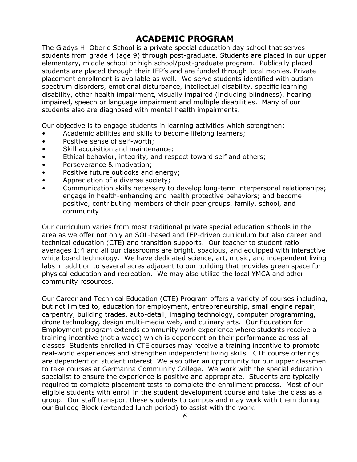### **ACADEMIC PROGRAM**

The Gladys H. Oberle School is a private special education day school that serves students from grade 4 (age 9) through post-graduate. Students are placed in our upper elementary, middle school or high school/post-graduate program. Publically placed students are placed through their IEP's and are funded through local monies. Private placement enrollment is available as well. We serve students identified with autism spectrum disorders, emotional disturbance, intellectual disability, specific learning disability, other health impairment, visually impaired (including blindness), hearing impaired, speech or language impairment and multiple disabilities. Many of our students also are diagnosed with mental health impairments.

Our objective is to engage students in learning activities which strengthen:

- Academic abilities and skills to become lifelong learners;
- Positive sense of self-worth;
- Skill acquisition and maintenance:
- Ethical behavior, integrity, and respect toward self and others;
- Perseverance & motivation;
- Positive future outlooks and energy;
- Appreciation of a diverse society;
- Communication skills necessary to develop long-term interpersonal relationships; engage in health-enhancing and health protective behaviors; and become positive, contributing members of their peer groups, family, school, and community.

Our curriculum varies from most traditional private special education schools in the area as we offer not only an SOL-based and IEP-driven curriculum but also career and technical education (CTE) and transition supports. Our teacher to student ratio averages 1:4 and all our classrooms are bright, spacious, and equipped with interactive white board technology. We have dedicated science, art, music, and independent living labs in addition to several acres adjacent to our building that provides green space for physical education and recreation. We may also utilize the local YMCA and other community resources.

Our Career and Technical Education (CTE) Program offers a variety of courses including, but not limited to, education for employment, entrepreneurship, small engine repair, carpentry, building trades, auto-detail, imaging technology, computer programming, drone technology, design multi-media web, and culinary arts. Our Education for Employment program extends community work experience where students receive a training incentive (not a wage) which is dependent on their performance across all classes. Students enrolled in CTE courses may receive a training incentive to promote real-world experiences and strengthen independent living skills. CTE course offerings are dependent on student interest. We also offer an opportunity for our upper classmen to take courses at Germanna Community College. We work with the special education specialist to ensure the experience is positive and appropriate. Students are typically required to complete placement tests to complete the enrollment process. Most of our eligible students with enroll in the student development course and take the class as a group. Our staff transport these students to campus and may work with them during our Bulldog Block (extended lunch period) to assist with the work.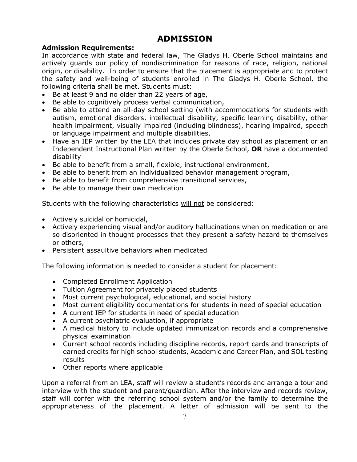### **ADMISSION**

#### **Admission Requirements:**

In accordance with state and federal law, The Gladys H. Oberle School maintains and actively guards our policy of nondiscrimination for reasons of race, religion, national origin, or disability. In order to ensure that the placement is appropriate and to protect the safety and well-being of students enrolled in The Gladys H. Oberle School, the following criteria shall be met. Students must:

- Be at least 9 and no older than 22 years of age,
- Be able to cognitively process verbal communication,
- Be able to attend an all-day school setting (with accommodations for students with autism, emotional disorders, intellectual disability, specific learning disability, other health impairment, visually impaired (including blindness), hearing impaired, speech or language impairment and multiple disabilities,
- Have an IEP written by the LEA that includes private day school as placement or an Independent Instructional Plan written by the Oberle School, **OR** have a documented disability
- Be able to benefit from a small, flexible, instructional environment,
- Be able to benefit from an individualized behavior management program,
- Be able to benefit from comprehensive transitional services,
- Be able to manage their own medication

Students with the following characteristics will not be considered:

- Actively suicidal or homicidal,
- Actively experiencing visual and/or auditory hallucinations when on medication or are so disoriented in thought processes that they present a safety hazard to themselves or others,
- Persistent assaultive behaviors when medicated

The following information is needed to consider a student for placement:

- Completed Enrollment Application
- Tuition Agreement for privately placed students
- Most current psychological, educational, and social history
- Most current eligibility documentations for students in need of special education
- A current IEP for students in need of special education
- A current psychiatric evaluation, if appropriate
- A medical history to include updated immunization records and a comprehensive physical examination
- Current school records including discipline records, report cards and transcripts of earned credits for high school students, Academic and Career Plan, and SOL testing results
- Other reports where applicable

Upon a referral from an LEA, staff will review a student's records and arrange a tour and interview with the student and parent/guardian. After the interview and records review, staff will confer with the referring school system and/or the family to determine the appropriateness of the placement. A letter of admission will be sent to the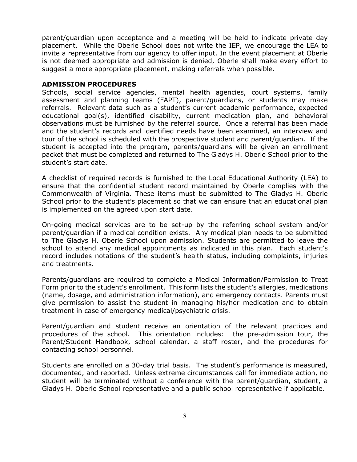parent/guardian upon acceptance and a meeting will be held to indicate private day placement. While the Oberle School does not write the IEP, we encourage the LEA to invite a representative from our agency to offer input. In the event placement at Oberle is not deemed appropriate and admission is denied, Oberle shall make every effort to suggest a more appropriate placement, making referrals when possible.

#### **ADMISSION PROCEDURES**

Schools, social service agencies, mental health agencies, court systems, family assessment and planning teams (FAPT), parent/guardians, or students may make referrals. Relevant data such as a student's current academic performance, expected educational goal(s), identified disability, current medication plan, and behavioral observations must be furnished by the referral source. Once a referral has been made and the student's records and identified needs have been examined, an interview and tour of the school is scheduled with the prospective student and parent/guardian. If the student is accepted into the program, parents/guardians will be given an enrollment packet that must be completed and returned to The Gladys H. Oberle School prior to the student's start date.

A checklist of required records is furnished to the Local Educational Authority (LEA) to ensure that the confidential student record maintained by Oberle complies with the Commonwealth of Virginia. These items must be submitted to The Gladys H. Oberle School prior to the student's placement so that we can ensure that an educational plan is implemented on the agreed upon start date.

On-going medical services are to be set-up by the referring school system and/or parent/guardian if a medical condition exists. Any medical plan needs to be submitted to The Gladys H. Oberle School upon admission. Students are permitted to leave the school to attend any medical appointments as indicated in this plan. Each student's record includes notations of the student's health status, including complaints, injuries and treatments.

Parents/guardians are required to complete a Medical Information/Permission to Treat Form prior to the student's enrollment. This form lists the student's allergies, medications (name, dosage, and administration information), and emergency contacts. Parents must give permission to assist the student in managing his/her medication and to obtain treatment in case of emergency medical/psychiatric crisis.

Parent/guardian and student receive an orientation of the relevant practices and procedures of the school. This orientation includes: the pre-admission tour, the Parent/Student Handbook, school calendar, a staff roster, and the procedures for contacting school personnel.

Students are enrolled on a 30-day trial basis. The student's performance is measured, documented, and reported. Unless extreme circumstances call for immediate action, no student will be terminated without a conference with the parent/guardian, student, a Gladys H. Oberle School representative and a public school representative if applicable.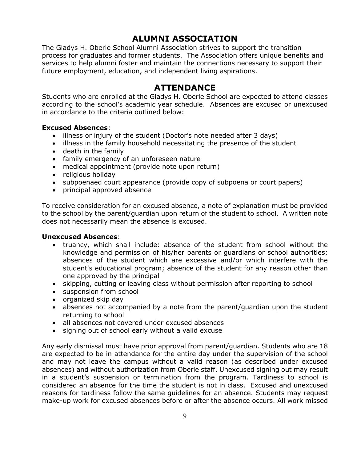### **ALUMNI ASSOCIATION**

The Gladys H. Oberle School Alumni Association strives to support the transition process for graduates and former students. The Association offers unique benefits and services to help alumni foster and maintain the connections necessary to support their future employment, education, and independent living aspirations.

### **ATTENDANCE**

Students who are enrolled at the Gladys H. Oberle School are expected to attend classes according to the school's academic year schedule. Absences are excused or unexcused in accordance to the criteria outlined below:

#### **Excused Absences**:

- illness or injury of the student (Doctor's note needed after 3 days)
- illness in the family household necessitating the presence of the student
- death in the family
- family emergency of an unforeseen nature
- medical appointment (provide note upon return)
- religious holiday
- subpoenaed court appearance (provide copy of subpoena or court papers)
- principal approved absence

To receive consideration for an excused absence, a note of explanation must be provided to the school by the parent/guardian upon return of the student to school. A written note does not necessarily mean the absence is excused.

#### **Unexcused Absences**:

- truancy, which shall include: absence of the student from school without the knowledge and permission of his/her parents or guardians or school authorities; absences of the student which are excessive and/or which interfere with the student's educational program; absence of the student for any reason other than one approved by the principal
- skipping, cutting or leaving class without permission after reporting to school
- suspension from school
- organized skip day
- absences not accompanied by a note from the parent/guardian upon the student returning to school
- all absences not covered under excused absences
- signing out of school early without a valid excuse

Any early dismissal must have prior approval from parent/guardian. Students who are 18 are expected to be in attendance for the entire day under the supervision of the school and may not leave the campus without a valid reason (as described under excused absences) and without authorization from Oberle staff. Unexcused signing out may result in a student's suspension or termination from the program. Tardiness to school is considered an absence for the time the student is not in class. Excused and unexcused reasons for tardiness follow the same guidelines for an absence. Students may request make-up work for excused absences before or after the absence occurs. All work missed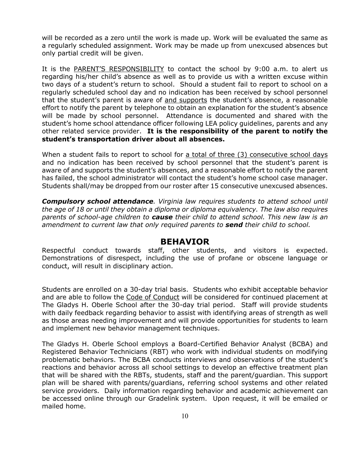will be recorded as a zero until the work is made up. Work will be evaluated the same as a regularly scheduled assignment. Work may be made up from unexcused absences but only partial credit will be given.

It is the PARENT'S RESPONSIBILITY to contact the school by 9:00 a.m. to alert us regarding his/her child's absence as well as to provide us with a written excuse within two days of a student's return to school. Should a student fail to report to school on a regularly scheduled school day and no indication has been received by school personnel that the student's parent is aware of and supports the student's absence, a reasonable effort to notify the parent by telephone to obtain an explanation for the student's absence will be made by school personnel. Attendance is documented and shared with the student's home school attendance officer following LEA policy guidelines, parents and any other related service provider. **It is the responsibility of the parent to notify the student's transportation driver about all absences.**

When a student fails to report to school for a total of three (3) consecutive school days and no indication has been received by school personnel that the student's parent is aware of and supports the student's absences, and a reasonable effort to notify the parent has failed, the school administrator will contact the student's home school case manager. Students shall/may be dropped from our roster after 15 consecutive unexcused absences.

*Compulsory school attendance. Virginia law requires students to attend school until the age of 18 or until they obtain a diploma or diploma equivalency. The law also requires parents of school-age children to cause their child to attend school. This new law is an amendment to current law that only required parents to send their child to school.*

#### **BEHAVIOR**

Respectful conduct towards staff, other students, and visitors is expected. Demonstrations of disrespect, including the use of profane or obscene language or conduct, will result in disciplinary action.

Students are enrolled on a 30-day trial basis. Students who exhibit acceptable behavior and are able to follow the Code of Conduct will be considered for continued placement at The Gladys H. Oberle School after the 30-day trial period. Staff will provide students with daily feedback regarding behavior to assist with identifying areas of strength as well as those areas needing improvement and will provide opportunities for students to learn and implement new behavior management techniques.

The Gladys H. Oberle School employs a Board-Certified Behavior Analyst (BCBA) and Registered Behavior Technicians (RBT) who work with individual students on modifying problematic behaviors. The BCBA conducts interviews and observations of the student's reactions and behavior across all school settings to develop an effective treatment plan that will be shared with the RBTs, students, staff and the parent/guardian. This support plan will be shared with parents/guardians, referring school systems and other related service providers. Daily information regarding behavior and academic achievement can be accessed online through our Gradelink system. Upon request, it will be emailed or mailed home.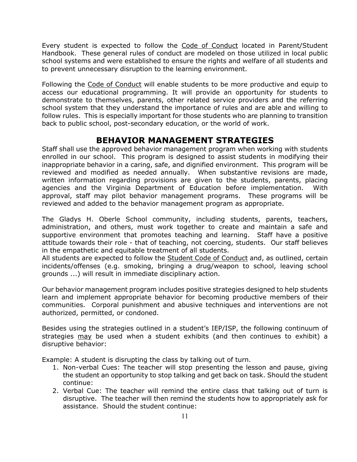Every student is expected to follow the Code of Conduct located in Parent/Student Handbook. These general rules of conduct are modeled on those utilized in local public school systems and were established to ensure the rights and welfare of all students and to prevent unnecessary disruption to the learning environment.

Following the Code of Conduct will enable students to be more productive and equip to access our educational programming. It will provide an opportunity for students to demonstrate to themselves, parents, other related service providers and the referring school system that they understand the importance of rules and are able and willing to follow rules. This is especially important for those students who are planning to transition back to public school, post-secondary education, or the world of work.

### **BEHAVIOR MANAGEMENT STRATEGIES**

Staff shall use the approved behavior management program when working with students enrolled in our school. This program is designed to assist students in modifying their inappropriate behavior in a caring, safe, and dignified environment. This program will be reviewed and modified as needed annually. When substantive revisions are made, written information regarding provisions are given to the students, parents, placing agencies and the Virginia Department of Education before implementation. With approval, staff may pilot behavior management programs. These programs will be reviewed and added to the behavior management program as appropriate.

The Gladys H. Oberle School community, including students, parents, teachers, administration, and others, must work together to create and maintain a safe and supportive environment that promotes teaching and learning. Staff have a positive attitude towards their role - that of teaching, not coercing, students. Our staff believes in the empathetic and equitable treatment of all students.

All students are expected to follow the **Student Code of Conduct** and, as outlined, certain incidents/offenses (e.g. smoking, bringing a drug/weapon to school, leaving school grounds ...) will result in immediate disciplinary action.

Our behavior management program includes positive strategies designed to help students learn and implement appropriate behavior for becoming productive members of their communities. Corporal punishment and abusive techniques and interventions are not authorized, permitted, or condoned.

Besides using the strategies outlined in a student's IEP/ISP, the following continuum of strategies may be used when a student exhibits (and then continues to exhibit) a disruptive behavior:

Example: A student is disrupting the class by talking out of turn.

- 1. Non-verbal Cues: The teacher will stop presenting the lesson and pause, giving the student an opportunity to stop talking and get back on task. Should the student continue:
- 2. Verbal Cue: The teacher will remind the entire class that talking out of turn is disruptive. The teacher will then remind the students how to appropriately ask for assistance. Should the student continue: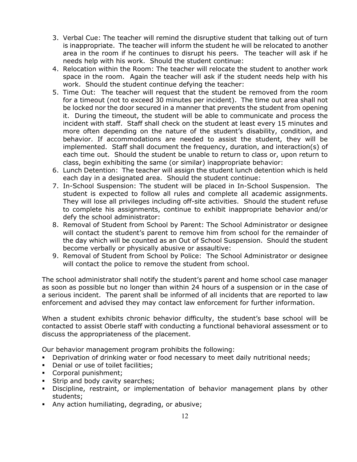- 3. Verbal Cue: The teacher will remind the disruptive student that talking out of turn is inappropriate. The teacher will inform the student he will be relocated to another area in the room if he continues to disrupt his peers. The teacher will ask if he needs help with his work. Should the student continue:
- 4. Relocation within the Room: The teacher will relocate the student to another work space in the room. Again the teacher will ask if the student needs help with his work. Should the student continue defying the teacher:
- 5. Time Out: The teacher will request that the student be removed from the room for a timeout (not to exceed 30 minutes per incident). The time out area shall not be locked nor the door secured in a manner that prevents the student from opening it. During the timeout, the student will be able to communicate and process the incident with staff. Staff shall check on the student at least every 15 minutes and more often depending on the nature of the student's disability, condition, and behavior. If accommodations are needed to assist the student, they will be implemented. Staff shall document the frequency, duration, and interaction(s) of each time out. Should the student be unable to return to class or, upon return to class, begin exhibiting the same (or similar) inappropriate behavior:
- 6. Lunch Detention: The teacher will assign the student lunch detention which is held each day in a designated area. Should the student continue:
- 7. In-School Suspension: The student will be placed in In-School Suspension. The student is expected to follow all rules and complete all academic assignments. They will lose all privileges including off-site activities. Should the student refuse to complete his assignments, continue to exhibit inappropriate behavior and/or defy the school administrator:
- 8. Removal of Student from School by Parent: The School Administrator or designee will contact the student's parent to remove him from school for the remainder of the day which will be counted as an Out of School Suspension. Should the student become verbally or physically abusive or assaultive:
- 9. Removal of Student from School by Police: The School Administrator or designee will contact the police to remove the student from school.

The school administrator shall notify the student's parent and home school case manager as soon as possible but no longer than within 24 hours of a suspension or in the case of a serious incident. The parent shall be informed of all incidents that are reported to law enforcement and advised they may contact law enforcement for further information.

When a student exhibits chronic behavior difficulty, the student's base school will be contacted to assist Oberle staff with conducting a functional behavioral assessment or to discuss the appropriateness of the placement.

Our behavior management program prohibits the following:

- **Deprivation of drinking water or food necessary to meet daily nutritional needs;**
- Denial or use of toilet facilities;
- Corporal punishment;
- **Strip and body cavity searches;**
- Discipline, restraint, or implementation of behavior management plans by other students;
- Any action humiliating, degrading, or abusive;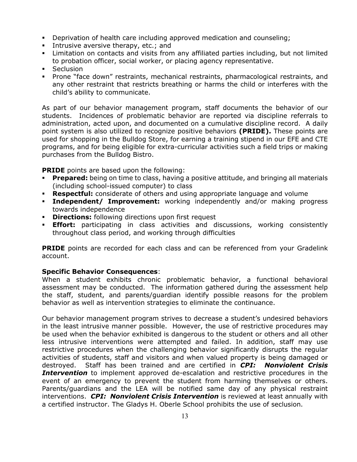- Deprivation of health care including approved medication and counseling;
- Intrusive aversive therapy, etc.; and
- Limitation on contacts and visits from any affiliated parties including, but not limited to probation officer, social worker, or placing agency representative.
- **Seclusion**
- Prone "face down" restraints, mechanical restraints, pharmacological restraints, and any other restraint that restricts breathing or harms the child or interferes with the child's ability to communicate.

As part of our behavior management program, staff documents the behavior of our students. Incidences of problematic behavior are reported via discipline referrals to administration, acted upon, and documented on a cumulative discipline record. A daily point system is also utilized to recognize positive behaviors **(PRIDE).** These points are used for shopping in the Bulldog Store, for earning a training stipend in our EFE and CTE programs, and for being eligible for extra-curricular activities such a field trips or making purchases from the Bulldog Bistro.

**PRIDE** points are based upon the following:

- **Prepared:** being on time to class, having a positive attitude, and bringing all materials (including school-issued computer) to class
- **Respectful:** considerate of others and using appropriate language and volume
- **Independent/ Improvement:** working independently and/or making progress towards independence
- **Directions:** following directions upon first request
- **Effort:** participating in class activities and discussions, working consistently throughout class period, and working through difficulties

**PRIDE** points are recorded for each class and can be referenced from your Gradelink account.

#### **Specific Behavior Consequences**:

When a student exhibits chronic problematic behavior, a functional behavioral assessment may be conducted. The information gathered during the assessment help the staff, student, and parents/guardian identify possible reasons for the problem behavior as well as intervention strategies to eliminate the continuance.

Our behavior management program strives to decrease a student's undesired behaviors in the least intrusive manner possible. However, the use of restrictive procedures may be used when the behavior exhibited is dangerous to the student or others and all other less intrusive interventions were attempted and failed. In addition, staff may use restrictive procedures when the challenging behavior significantly disrupts the regular activities of students, staff and visitors and when valued property is being damaged or destroyed. Staff has been trained and are certified in *CPI: Nonviolent Crisis*  **Intervention** to implement approved de-escalation and restrictive procedures in the event of an emergency to prevent the student from harming themselves or others. Parents/guardians and the LEA will be notified same day of any physical restraint interventions. *CPI: Nonviolent Crisis Intervention* is reviewed at least annually with a certified instructor. The Gladys H. Oberle School prohibits the use of seclusion.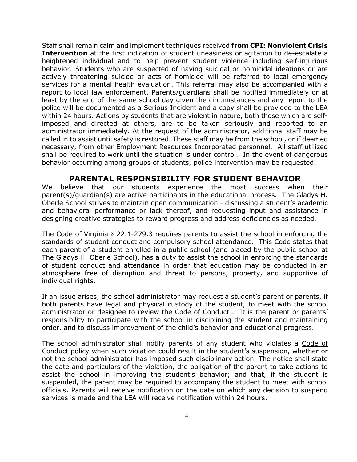Staff shall remain calm and implement techniques received **from CPI: Nonviolent Crisis Intervention** at the first indication of student uneasiness or agitation to de-escalate a heightened individual and to help prevent student violence including self-injurious behavior. Students who are suspected of having suicidal or homicidal ideations or are actively threatening suicide or acts of homicide will be referred to local emergency services for a mental health evaluation. This referral may also be accompanied with a report to local law enforcement. Parents/guardians shall be notified immediately or at least by the end of the same school day given the circumstances and any report to the police will be documented as a Serious Incident and a copy shall be provided to the LEA within 24 hours. Actions by students that are violent in nature, both those which are selfimposed and directed at others, are to be taken seriously and reported to an administrator immediately*.* At the request of the administrator, additional staff may be called in to assist until safety is restored. These staff may be from the school, or if deemed necessary, from other Employment Resources Incorporated personnel. All staff utilized shall be required to work until the situation is under control. In the event of dangerous behavior occurring among groups of students, police intervention may be requested.

#### **PARENTAL RESPONSIBILITY FOR STUDENT BEHAVIOR**

We believe that our students experience the most success when their parent(s)/guardian(s) are active participants in the educational process. The Gladys H. Oberle School strives to maintain open communication - discussing a student's academic and behavioral performance or lack thereof, and requesting input and assistance in designing creative strategies to reward progress and address deficiencies as needed.

The Code of Virginia § 22.1-279.3 requires parents to assist the school in enforcing the standards of student conduct and compulsory school attendance. This Code states that each parent of a student enrolled in a public school (and placed by the public school at The Gladys H. Oberle School), has a duty to assist the school in enforcing the standards of student conduct and attendance in order that education may be conducted in an atmosphere free of disruption and threat to persons, property, and supportive of individual rights.

If an issue arises, the school administrator may request a student's parent or parents, if both parents have legal and physical custody of the student, to meet with the school administrator or designee to review the Code of Conduct . It is the parent or parents' responsibility to participate with the school in disciplining the student and maintaining order, and to discuss improvement of the child's behavior and educational progress.

The school administrator shall notify parents of any student who violates a Code of Conduct policy when such violation could result in the student's suspension, whether or not the school administrator has imposed such disciplinary action. The notice shall state the date and particulars of the violation, the obligation of the parent to take actions to assist the school in improving the student's behavior; and that, if the student is suspended, the parent may be required to accompany the student to meet with school officials. Parents will receive notification on the date on which any decision to suspend services is made and the LEA will receive notification within 24 hours.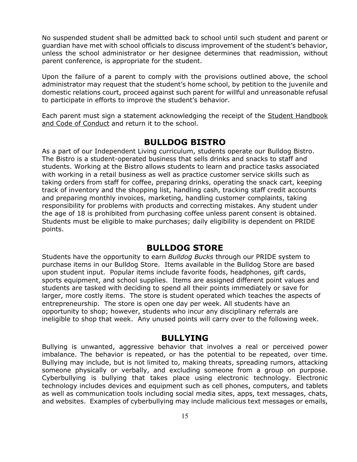No suspended student shall be admitted back to school until such student and parent or guardian have met with school officials to discuss improvement of the student's behavior, unless the school administrator or her designee determines that readmission, without parent conference, is appropriate for the student.

Upon the failure of a parent to comply with the provisions outlined above, the school administrator may request that the student's home school, by petition to the juvenile and domestic relations court, proceed against such parent for willful and unreasonable refusal to participate in efforts to improve the student's behavior.

Each parent must sign a statement acknowledging the receipt of the Student Handbook and Code of Conduct and return it to the school.

### **BULLDOG BISTRO**

As a part of our Independent Living curriculum, students operate our Bulldog Bistro. The Bistro is a student-operated business that sells drinks and snacks to staff and students. Working at the Bistro allows students to learn and practice tasks associated with working in a retail business as well as practice customer service skills such as taking orders from staff for coffee, preparing drinks, operating the snack cart, keeping track of inventory and the shopping list, handling cash, tracking staff credit accounts and preparing monthly invoices, marketing, handling customer complaints, taking responsibility for problems with products and correcting mistakes. Any student under the age of 18 is prohibited from purchasing coffee unless parent consent is obtained. Students must be eligible to make purchases; daily eligibility is dependent on PRIDE points.

### **BULLDOG STORE**

Students have the opportunity to earn *Bulldog Bucks* through our PRIDE system to purchase items in our Bulldog Store. Items available in the Bulldog Store are based upon student input. Popular items include favorite foods, headphones, gift cards, sports equipment, and school supplies. Items are assigned different point values and students are tasked with deciding to spend all their points immediately or save for larger, more costly items. The store is student operated which teaches the aspects of entrepreneurship. The store is open one day per week. All students have an opportunity to shop; however, students who incur any disciplinary referrals are ineligible to shop that week. Any unused points will carry over to the following week.

#### **BULLYING**

Bullying is unwanted, aggressive behavior that involves a real or perceived power imbalance. The behavior is repeated, or has the potential to be repeated, over time. Bullying may include, but is not limited to, making threats, spreading rumors, attacking someone physically or verbally, and excluding someone from a group on purpose. Cyberbullying is [bullying](https://www.stopbullying.gov/what-is-bullying/index.html) that takes place using electronic technology. Electronic technology includes devices and equipment such as cell phones, computers, and tablets as well as communication tools including social media sites, apps, text messages, chats, and websites. Examples of cyberbullying may include malicious text messages or emails,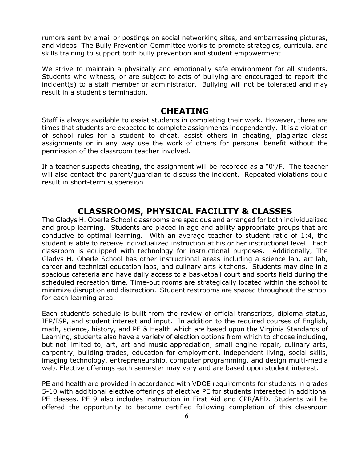rumors sent by email or postings on social networking sites, and embarrassing pictures, and videos. The Bully Prevention Committee works to promote strategies, curricula, and skills training to support both bully prevention and student empowerment.

We strive to maintain a physically and emotionally safe environment for all students. Students who witness, or are subject to acts of bullying are encouraged to report the incident(s) to a staff member or administrator. Bullying will not be tolerated and may result in a student's termination.

#### **CHEATING**

Staff is always available to assist students in completing their work. However, there are times that students are expected to complete assignments independently. It is a violation of school rules for a student to cheat, assist others in cheating, plagiarize class assignments or in any way use the work of others for personal benefit without the permission of the classroom teacher involved.

If a teacher suspects cheating, the assignment will be recorded as a "0"/F. The teacher will also contact the parent/guardian to discuss the incident. Repeated violations could result in short-term suspension.

### **CLASSROOMS, PHYSICAL FACILITY & CLASSES**

The Gladys H. Oberle School classrooms are spacious and arranged for both individualized and group learning. Students are placed in age and ability appropriate groups that are conducive to optimal learning. With an average teacher to student ratio of 1:4, the student is able to receive individualized instruction at his or her instructional level. Each classroom is equipped with technology for instructional purposes. Additionally, The Gladys H. Oberle School has other instructional areas including a science lab, art lab, career and technical education labs, and culinary arts kitchens. Students may dine in a spacious cafeteria and have daily access to a basketball court and sports field during the scheduled recreation time. Time-out rooms are strategically located within the school to minimize disruption and distraction. Student restrooms are spaced throughout the school for each learning area.

Each student's schedule is built from the review of official transcripts, diploma status, IEP/ISP, and student interest and input. In addition to the required courses of English, math, science, history, and PE & Health which are based upon the Virginia Standards of Learning, students also have a variety of election options from which to choose including, but not limited to, art, art and music appreciation, small engine repair, culinary arts, carpentry, building trades, education for employment, independent living, social skills, imaging technology, entrepreneurship, computer programming, and design multi-media web. Elective offerings each semester may vary and are based upon student interest.

PE and health are provided in accordance with VDOE requirements for students in grades 5-10 with additional elective offerings of elective PE for students interested in additional PE classes. PE 9 also includes instruction in First Aid and CPR/AED. Students will be offered the opportunity to become certified following completion of this classroom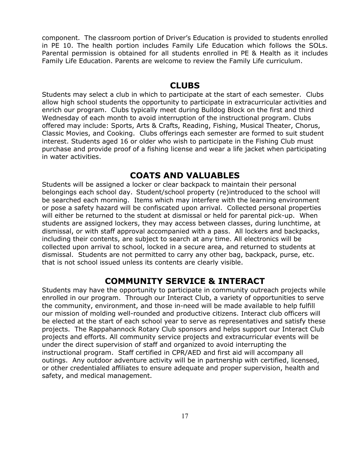component. The classroom portion of Driver's Education is provided to students enrolled in PE 10. The health portion includes Family Life Education which follows the SOLs. Parental permission is obtained for all students enrolled in PE & Health as it includes Family Life Education. Parents are welcome to review the Family Life curriculum.

#### **CLUBS**

Students may select a club in which to participate at the start of each semester. Clubs allow high school students the opportunity to participate in extracurricular activities and enrich our program. Clubs typically meet during Bulldog Block on the first and third Wednesday of each month to avoid interruption of the instructional program. Clubs offered may include: Sports, Arts & Crafts, Reading, Fishing, Musical Theater, Chorus, Classic Movies, and Cooking. Clubs offerings each semester are formed to suit student interest. Students aged 16 or older who wish to participate in the Fishing Club must purchase and provide proof of a fishing license and wear a life jacket when participating in water activities.

### **COATS AND VALUABLES**

Students will be assigned a locker or clear backpack to maintain their personal belongings each school day. Student/school property (re)introduced to the school will be searched each morning. Items which may interfere with the learning environment or pose a safety hazard will be confiscated upon arrival. Collected personal properties will either be returned to the student at dismissal or held for parental pick-up. When students are assigned lockers, they may access between classes, during lunchtime, at dismissal, or with staff approval accompanied with a pass. All lockers and backpacks, including their contents, are subject to search at any time. All electronics will be collected upon arrival to school, locked in a secure area, and returned to students at dismissal. Students are not permitted to carry any other bag, backpack, purse, etc. that is not school issued unless its contents are clearly visible.

### **COMMUNITY SERVICE & INTERACT**

Students may have the opportunity to participate in community outreach projects while enrolled in our program. Through our Interact Club, a variety of opportunities to serve the community, environment, and those in-need will be made available to help fulfill our mission of molding well-rounded and productive citizens. Interact club officers will be elected at the start of each school year to serve as representatives and satisfy these projects. The Rappahannock Rotary Club sponsors and helps support our Interact Club projects and efforts. All community service projects and extracurricular events will be under the direct supervision of staff and organized to avoid interrupting the instructional program. Staff certified in CPR/AED and first aid will accompany all outings. Any outdoor adventure activity will be in partnership with certified, licensed, or other credentialed affiliates to ensure adequate and proper supervision, health and safety, and medical management.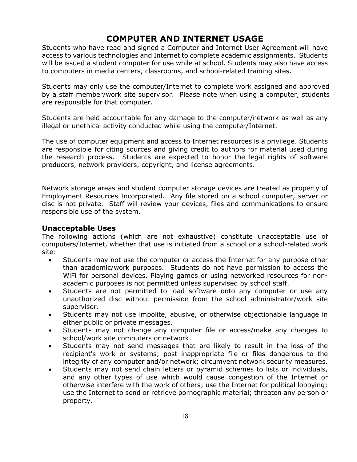### **COMPUTER AND INTERNET USAGE**

Students who have read and signed a Computer and Internet User Agreement will have access to various technologies and Internet to complete academic assignments. Students will be issued a student computer for use while at school. Students may also have access to computers in media centers, classrooms, and school-related training sites.

Students may only use the computer/Internet to complete work assigned and approved by a staff member/work site supervisor. Please note when using a computer, students are responsible for that computer.

Students are held accountable for any damage to the computer/network as well as any illegal or unethical activity conducted while using the computer/Internet.

The use of computer equipment and access to Internet resources is a privilege. Students are responsible for citing sources and giving credit to authors for material used during the research process. Students are expected to honor the legal rights of software producers, network providers, copyright, and license agreements.

Network storage areas and student computer storage devices are treated as property of Employment Resources Incorporated. Any file stored on a school computer, server or disc is not private. Staff will review your devices, files and communications to ensure responsible use of the system.

#### **Unacceptable Uses**

The following actions (which are not exhaustive) constitute unacceptable use of computers/Internet, whether that use is initiated from a school or a school-related work site:

- Students may not use the computer or access the Internet for any purpose other than academic/work purposes. Students do not have permission to access the WiFi for personal devices. Playing games or using networked resources for nonacademic purposes is not permitted unless supervised by school staff.
- Students are not permitted to load software onto any computer or use any unauthorized disc without permission from the school administrator/work site supervisor.
- Students may not use impolite, abusive, or otherwise objectionable language in either public or private messages.
- Students may not change any computer file or access/make any changes to school/work site computers or network.
- Students may not send messages that are likely to result in the loss of the recipient's work or systems; post inappropriate file or files dangerous to the integrity of any computer and/or network; circumvent network security measures.
- Students may not send chain letters or pyramid schemes to lists or individuals, and any other types of use which would cause congestion of the Internet or otherwise interfere with the work of others; use the Internet for political lobbying; use the Internet to send or retrieve pornographic material; threaten any person or property.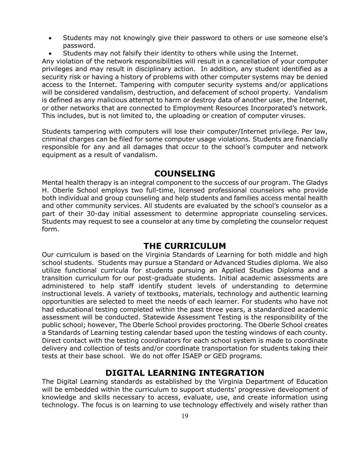- Students may not knowingly give their password to others or use someone else's password.
- Students may not falsify their identity to others while using the Internet.

Any violation of the network responsibilities will result in a cancellation of your computer privileges and may result in disciplinary action. In addition, any student identified as a security risk or having a history of problems with other computer systems may be denied access to the Internet. Tampering with computer security systems and/or applications will be considered vandalism, destruction, and defacement of school property. Vandalism is defined as any malicious attempt to harm or destroy data of another user, the Internet, or other networks that are connected to Employment Resources Incorporated's network. This includes, but is not limited to, the uploading or creation of computer viruses.

Students tampering with computers will lose their computer/Internet privilege. Per law, criminal charges can be filed for some computer usage violations. Students are financially responsible for any and all damages that occur to the school's computer and network equipment as a result of vandalism.

### **COUNSELING**

Mental health therapy is an integral component to the success of our program. The Gladys H. Oberle School employs two full-time, licensed professional counselors who provide both individual and group counseling and help students and families access mental health and other community services. All students are evaluated by the school's counselor as a part of their 30-day initial assessment to determine appropriate counseling services. Students may request to see a counselor at any time by completing the counselor request form.

### **THE CURRICULUM**

Our curriculum is based on the Virginia Standards of Learning for both middle and high school students. Students may pursue a Standard or Advanced Studies diploma. We also utilize functional curricula for students pursuing an Applied Studies Diploma and a transition curriculum for our post-graduate students. Initial academic assessments are administered to help staff identify student levels of understanding to determine instructional levels. A variety of textbooks, materials, technology and authentic learning opportunities are selected to meet the needs of each learner. For students who have not had educational testing completed within the past three years, a standardized academic assessment will be conducted. Statewide Assessment Testing is the responsibility of the public school; however, The Oberle School provides proctoring. The Oberle School creates a Standards of Learning testing calendar based upon the testing windows of each county. Direct contact with the testing coordinators for each school system is made to coordinate delivery and collection of tests and/or coordinate transportation for students taking their tests at their base school. We do not offer ISAEP or GED programs.

### **DIGITAL LEARNING INTEGRATION**

The Digital Learning standards as established by the Virginia Department of Education will be embedded within the curriculum to support students' progressive development of knowledge and skills necessary to access, evaluate, use, and create information using technology. The focus is on learning to use technology effectively and wisely rather than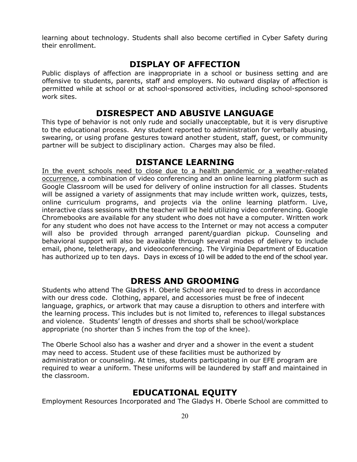learning about technology. Students shall also become certified in Cyber Safety during their enrollment.

### **DISPLAY OF AFFECTION**

Public displays of affection are inappropriate in a school or business setting and are offensive to students, parents, staff and employers. No outward display of affection is permitted while at school or at school-sponsored activities, including school-sponsored work sites.

### **DISRESPECT AND ABUSIVE LANGUAGE**

This type of behavior is not only rude and socially unacceptable, but it is very disruptive to the educational process. Any student reported to administration for verbally abusing, swearing, or using profane gestures toward another student, staff, guest, or community partner will be subject to disciplinary action. Charges may also be filed.

### **DISTANCE LEARNING**

In the event schools need to close due to a health pandemic or a weather-related occurrence, a combination of video conferencing and an online learning platform such as Google Classroom will be used for delivery of online instruction for all classes. Students will be assigned a variety of assignments that may include written work, quizzes, tests, online curriculum programs, and projects via the online learning platform. Live, interactive class sessions with the teacher will be held utilizing video conferencing. Google Chromebooks are available for any student who does not have a computer. Written work for any student who does not have access to the Internet or may not access a computer will also be provided through arranged parent/guardian pickup. Counseling and behavioral support will also be available through several modes of delivery to include email, phone, teletherapy, and videoconferencing. The Virginia Department of Education has authorized up to ten days. Days in excess of 10 will be added to the end of the school year.

### **DRESS AND GROOMING**

Students who attend The Gladys H. Oberle School are required to dress in accordance with our dress code. Clothing, apparel, and accessories must be free of indecent language, graphics, or artwork that may cause a disruption to others and interfere with the learning process. This includes but is not limited to, references to illegal substances and violence. Students' length of dresses and shorts shall be school/workplace appropriate (no shorter than 5 inches from the top of the knee).

The Oberle School also has a washer and dryer and a shower in the event a student may need to access. Student use of these facilities must be authorized by administration or counseling. At times, students participating in our EFE program are required to wear a uniform. These uniforms will be laundered by staff and maintained in the classroom.

### **EDUCATIONAL EQUITY**

Employment Resources Incorporated and The Gladys H. Oberle School are committed to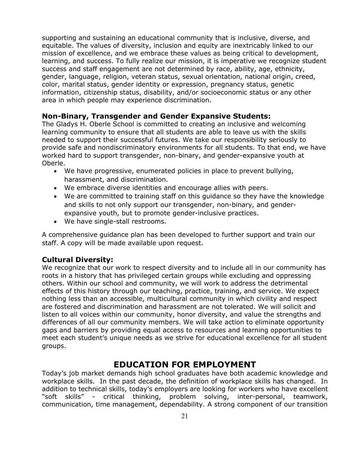supporting and sustaining an educational community that is inclusive, diverse, and equitable. The values of diversity, inclusion and equity are inextricably linked to our mission of excellence, and we embrace these values as being critical to development, learning, and success. To fully realize our mission, it is imperative we recognize student success and staff engagement are not determined by race, ability, age, ethnicity, gender, language, religion, veteran status, sexual orientation, national origin, creed, color, marital status, gender identity or expression, pregnancy status, genetic information, citizenship status, disability, and/or socioeconomic status or any other area in which people may experience discrimination.

#### **Non-Binary, Transgender and Gender Expansive Students:**

The Gladys H. Oberle School is committed to creating an inclusive and welcoming learning community to ensure that all students are able to leave us with the skills needed to support their successful futures. We take our responsibility seriously to provide safe and nondiscriminatory environments for all students. To that end, we have worked hard to support transgender, non-binary, and gender-expansive youth at Oberle.

- We have progressive, enumerated policies in place to prevent bullying, harassment, and discrimination.
- We embrace diverse identities and encourage allies with peers.
- We are committed to training staff on this guidance so they have the knowledge and skills to not only support our transgender, non-binary, and genderexpansive youth, but to promote gender-inclusive practices.
- We have single-stall restrooms.

A comprehensive guidance plan has been developed to further support and train our staff. A copy will be made available upon request.

#### **Cultural Diversity:**

We recognize that our work to respect diversity and to include all in our community has roots in a history that has privileged certain groups while excluding and oppressing others. Within our school and community, we will work to address the detrimental effects of this history through our teaching, practice, training, and service. We expect nothing less than an accessible, multicultural community in which civility and respect are fostered and discrimination and harassment are not tolerated. We will solicit and listen to all voices within our community, honor diversity, and value the strengths and differences of all our community members. We will take action to eliminate opportunity gaps and barriers by providing equal access to resources and learning opportunities to meet each student's unique needs as we strive for educational excellence for all student groups.

### **EDUCATION FOR EMPLOYMENT**

Today's job market demands high school graduates have both academic knowledge and workplace skills. In the past decade, the definition of workplace skills has changed. In addition to technical skills, today's employers are looking for workers who have excellent "soft skills" - critical thinking, problem solving, inter-personal, teamwork, communication, time management, dependability. A strong component of our transition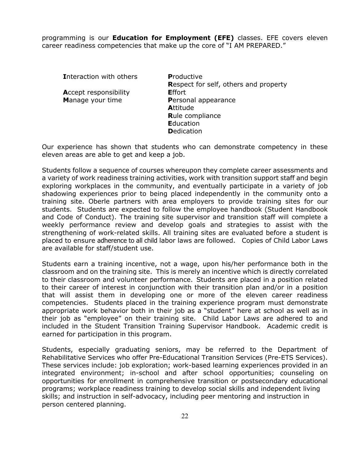programming is our **Education for Employment (EFE)** classes. EFE covers eleven career readiness competencies that make up the core of "I AM PREPARED."

**I**nteraction with others **P**roductive

**A**ccept responsibility **E**ffort

**R**espect for self, others and property **M**anage your time **P**ersonal appearance **A**ttitude **R**ule compliance **E**ducation **D**edication

Our experience has shown that students who can demonstrate competency in these eleven areas are able to get and keep a job.

Students follow a sequence of courses whereupon they complete career assessments and a variety of work readiness training activities, work with transition support staff and begin exploring workplaces in the community, and eventually participate in a variety of job shadowing experiences prior to being placed independently in the community onto a training site. Oberle partners with area employers to provide training sites for our students. Students are expected to follow the employee handbook (Student Handbook and Code of Conduct). The training site supervisor and transition staff will complete a weekly performance review and develop goals and strategies to assist with the strengthening of work-related skills. All training sites are evaluated before a student is placed to ensure adherence to all child labor laws are followed. Copies of Child Labor Laws are available for staff/student use.

Students earn a training incentive, not a wage, upon his/her performance both in the classroom and on the training site. This is merely an incentive which is directly correlated to their classroom and volunteer performance. Students are placed in a position related to their career of interest in conjunction with their transition plan and/or in a position that will assist them in developing one or more of the eleven career readiness competencies. Students placed in the training experience program must demonstrate appropriate work behavior both in their job as a "student" here at school as well as in their job as "employee" on their training site. Child Labor Laws are adhered to and included in the Student Transition Training Supervisor Handbook. Academic credit is earned for participation in this program.

Students, especially graduating seniors, may be referred to the Department of Rehabilitative Services who offer Pre-Educational Transition Services (Pre-ETS Services). These services include: job exploration; work-based learning experiences provided in an integrated environment; in-school and after school opportunities; counseling on opportunities for enrollment in comprehensive transition or postsecondary educational programs; workplace readiness training to develop social skills and independent living skills; and instruction in self-advocacy, including peer mentoring and instruction in person centered planning.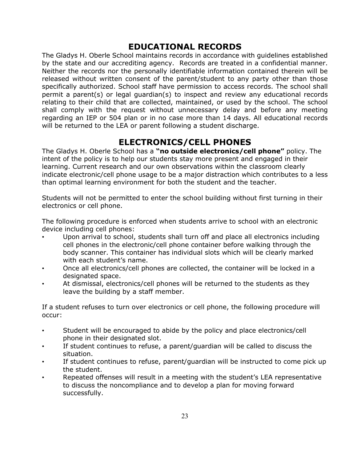### **EDUCATIONAL RECORDS**

The Gladys H. Oberle School maintains records in accordance with guidelines established by the state and our accrediting agency. Records are treated in a confidential manner. Neither the records nor the personally identifiable information contained therein will be released without written consent of the parent/student to any party other than those specifically authorized. School staff have permission to access records. The school shall permit a parent(s) or legal guardian(s) to inspect and review any educational records relating to their child that are collected, maintained, or used by the school. The school shall comply with the request without unnecessary delay and before any meeting regarding an IEP or 504 plan or in no case more than 14 days. All educational records will be returned to the LEA or parent following a student discharge.

### **ELECTRONICS/CELL PHONES**

The Gladys H. Oberle School has a **"no outside electronics/cell phone"** policy. The intent of the policy is to help our students stay more present and engaged in their learning. Current research and our own observations within the classroom clearly indicate electronic/cell phone usage to be a major distraction which contributes to a less than optimal learning environment for both the student and the teacher.

Students will not be permitted to enter the school building without first turning in their electronics or cell phone.

The following procedure is enforced when students arrive to school with an electronic device including cell phones:

- Upon arrival to school, students shall turn off and place all electronics including cell phones in the electronic/cell phone container before walking through the body scanner. This container has individual slots which will be clearly marked with each student's name.
- Once all electronics/cell phones are collected, the container will be locked in a designated space.
- At dismissal, electronics/cell phones will be returned to the students as they leave the building by a staff member.

If a student refuses to turn over electronics or cell phone, the following procedure will occur:

- Student will be encouraged to abide by the policy and place electronics/cell phone in their designated slot.
- If student continues to refuse, a parent/guardian will be called to discuss the situation.
- If student continues to refuse, parent/guardian will be instructed to come pick up the student.
- Repeated offenses will result in a meeting with the student's LEA representative to discuss the noncompliance and to develop a plan for moving forward successfully.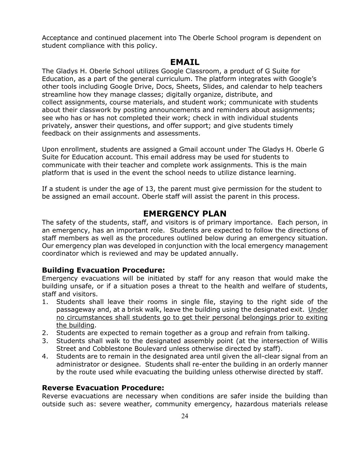Acceptance and continued placement into The Oberle School program is dependent on student compliance with this policy.

#### **EMAIL**

The Gladys H. Oberle School utilizes Google Classroom, a product of G Suite for Education, as a part of the general curriculum. The platform integrates with Google's other tools including Google Drive, Docs, Sheets, Slides, and calendar to help teachers streamline how they manage classes; digitally organize, distribute, and collect assignments, course materials, and student work; communicate with students about their classwork by posting announcements and reminders about assignments; see who has or has not completed their work; check in with individual students privately, answer their questions, and offer support; and give students timely feedback on their assignments and assessments.

Upon enrollment, students are assigned a Gmail account under The Gladys H. Oberle G Suite for Education account. This email address may be used for students to communicate with their teacher and complete work assignments. This is the main platform that is used in the event the school needs to utilize distance learning.

If a student is under the age of 13, the parent must give permission for the student to be assigned an email account. Oberle staff will assist the parent in this process.

### **EMERGENCY PLAN**

The safety of the students, staff, and visitors is of primary importance. Each person, in an emergency, has an important role. Students are expected to follow the directions of staff members as well as the procedures outlined below during an emergency situation. Our emergency plan was developed in conjunction with the local emergency management coordinator which is reviewed and may be updated annually.

#### **Building Evacuation Procedure:**

Emergency evacuations will be initiated by staff for any reason that would make the building unsafe, or if a situation poses a threat to the health and welfare of students, staff and visitors.

- 1. Students shall leave their rooms in single file, staying to the right side of the passageway and, at a brisk walk, leave the building using the designated exit. Under no circumstances shall students go to get their personal belongings prior to exiting the building.
- 2. Students are expected to remain together as a group and refrain from talking.
- 3. Students shall walk to the designated assembly point (at the intersection of Willis Street and Cobblestone Boulevard unless otherwise directed by staff).
- 4. Students are to remain in the designated area until given the all-clear signal from an administrator or designee. Students shall re-enter the building in an orderly manner by the route used while evacuating the building unless otherwise directed by staff.

#### **Reverse Evacuation Procedure:**

Reverse evacuations are necessary when conditions are safer inside the building than outside such as: severe weather, community emergency, hazardous materials release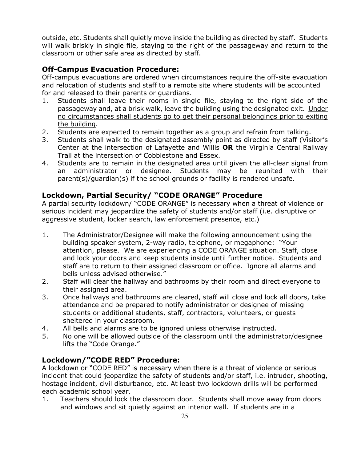outside, etc. Students shall quietly move inside the building as directed by staff. Students will walk briskly in single file, staying to the right of the passageway and return to the classroom or other safe area as directed by staff.

### **Off-Campus Evacuation Procedure:**

Off-campus evacuations are ordered when circumstances require the off-site evacuation and relocation of students and staff to a remote site where students will be accounted for and released to their parents or guardians.

- 1. Students shall leave their rooms in single file, staying to the right side of the passageway and, at a brisk walk, leave the building using the designated exit. Under no circumstances shall students go to get their personal belongings prior to exiting the building.
- 2. Students are expected to remain together as a group and refrain from talking.
- 3. Students shall walk to the designated assembly point as directed by staff (Visitor's Center at the intersection of Lafayette and Willis **OR** the Virginia Central Railway Trail at the intersection of Cobblestone and Essex.
- 4. Students are to remain in the designated area until given the all-clear signal from an administrator or designee. Students may be reunited with their parent(s)/guardian(s) if the school grounds or facility is rendered unsafe.

#### **Lockdown, Partial Security/ "CODE ORANGE" Procedure**

A partial security lockdown/ "CODE ORANGE" is necessary when a threat of violence or serious incident may jeopardize the safety of students and/or staff (i.e. disruptive or aggressive student, locker search, law enforcement presence, etc.)

- 1. The Administrator/Designee will make the following announcement using the building speaker system, 2-way radio, telephone, or megaphone: "Your attention, please. We are experiencing a CODE ORANGE situation. Staff, close and lock your doors and keep students inside until further notice. Students and staff are to return to their assigned classroom or office. Ignore all alarms and bells unless advised otherwise."
- 2. Staff will clear the hallway and bathrooms by their room and direct everyone to their assigned area.
- 3. Once hallways and bathrooms are cleared, staff will close and lock all doors, take attendance and be prepared to notify administrator or designee of missing students or additional students, staff, contractors, volunteers, or guests sheltered in your classroom.
- 4. All bells and alarms are to be ignored unless otherwise instructed.
- 5. No one will be allowed outside of the classroom until the administrator/designee lifts the "Code Orange."

### **Lockdown/"CODE RED" Procedure:**

A lockdown or "CODE RED" is necessary when there is a threat of violence or serious incident that could jeopardize the safety of students and/or staff, i.e. intruder, shooting, hostage incident, civil disturbance, etc. At least two lockdown drills will be performed each academic school year.

1. Teachers should lock the classroom door. Students shall move away from doors and windows and sit quietly against an interior wall. If students are in a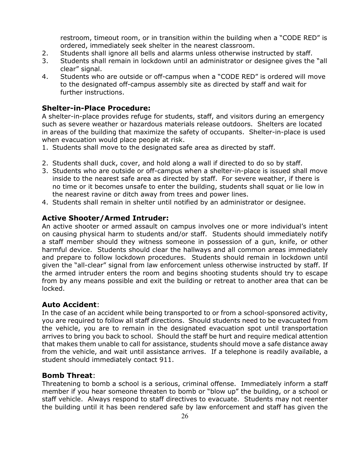restroom, timeout room, or in transition within the building when a "CODE RED" is ordered, immediately seek shelter in the nearest classroom.

- 2. Students shall ignore all bells and alarms unless otherwise instructed by staff.
- 3. Students shall remain in lockdown until an administrator or designee gives the "all clear" signal.
- 4. Students who are outside or off-campus when a "CODE RED" is ordered will move to the designated off-campus assembly site as directed by staff and wait for further instructions.

#### **Shelter-in-Place Procedure:**

A shelter-in-place provides refuge for students, staff, and visitors during an emergency such as severe weather or hazardous materials release outdoors. Shelters are located in areas of the building that maximize the safety of occupants. Shelter-in-place is used when evacuation would place people at risk.

- 1. Students shall move to the designated safe area as directed by staff.
- 2. Students shall duck, cover, and hold along a wall if directed to do so by staff.
- 3. Students who are outside or off-campus when a shelter-in-place is issued shall move inside to the nearest safe area as directed by staff. For severe weather, if there is no time or it becomes unsafe to enter the building, students shall squat or lie low in the nearest ravine or ditch away from trees and power lines.
- 4. Students shall remain in shelter until notified by an administrator or designee.

#### **Active Shooter/Armed Intruder:**

An active shooter or armed assault on campus involves one or more individual's intent on causing physical harm to students and/or staff. Students should immediately notify a staff member should they witness someone in possession of a gun, knife, or other harmful device. Students should clear the hallways and all common areas immediately and prepare to follow lockdown procedures. Students should remain in lockdown until given the "all-clear" signal from law enforcement unless otherwise instructed by staff. If the armed intruder enters the room and begins shooting students should try to escape from by any means possible and exit the building or retreat to another area that can be locked.

#### **Auto Accident**:

In the case of an accident while being transported to or from a school-sponsored activity, you are required to follow all staff directions. Should students need to be evacuated from the vehicle, you are to remain in the designated evacuation spot until transportation arrives to bring you back to school. Should the staff be hurt and require medical attention that makes them unable to call for assistance, students should move a safe distance away from the vehicle, and wait until assistance arrives. If a telephone is readily available, a student should immediately contact 911.

#### **Bomb Threat**:

Threatening to bomb a school is a serious, criminal offense. Immediately inform a staff member if you hear someone threaten to bomb or "blow up" the building, or a school or staff vehicle. Always respond to staff directives to evacuate. Students may not reenter the building until it has been rendered safe by law enforcement and staff has given the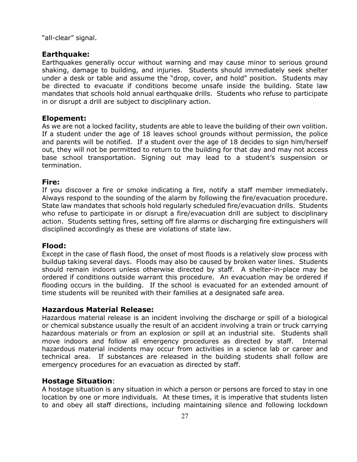"all-clear" signal.

#### **Earthquake:**

Earthquakes generally occur without warning and may cause minor to serious ground shaking, damage to building, and injuries. Students should immediately seek shelter under a desk or table and assume the "drop, cover, and hold" position. Students may be directed to evacuate if conditions become unsafe inside the building. State law mandates that schools hold annual earthquake drills. Students who refuse to participate in or disrupt a drill are subject to disciplinary action.

#### **Elopement:**

As we are not a locked facility, students are able to leave the building of their own volition. If a student under the age of 18 leaves school grounds without permission, the police and parents will be notified. If a student over the age of 18 decides to sign him/herself out, they will not be permitted to return to the building for that day and may not access base school transportation. Signing out may lead to a student's suspension or termination.

#### **Fire:**

If you discover a fire or smoke indicating a fire, notify a staff member immediately. Always respond to the sounding of the alarm by following the fire/evacuation procedure. State law mandates that schools hold regularly scheduled fire/evacuation drills. Students who refuse to participate in or disrupt a fire/evacuation drill are subject to disciplinary action. Students setting fires, setting off fire alarms or discharging fire extinguishers will disciplined accordingly as these are violations of state law.

#### **Flood:**

Except in the case of flash flood, the onset of most floods is a relatively slow process with buildup taking several days. Floods may also be caused by broken water lines. Students should remain indoors unless otherwise directed by staff. A shelter-in-place may be ordered if conditions outside warrant this procedure. An evacuation may be ordered if flooding occurs in the building. If the school is evacuated for an extended amount of time students will be reunited with their families at a designated safe area.

#### **Hazardous Material Release:**

Hazardous material release is an incident involving the discharge or spill of a biological or chemical substance usually the result of an accident involving a train or truck carrying hazardous materials or from an explosion or spill at an industrial site. Students shall move indoors and follow all emergency procedures as directed by staff. Internal hazardous material incidents may occur from activities in a science lab or career and technical area. If substances are released in the building students shall follow are emergency procedures for an evacuation as directed by staff.

#### **Hostage Situation**:

A hostage situation is any situation in which a person or persons are forced to stay in one location by one or more individuals. At these times, it is imperative that students listen to and obey all staff directions, including maintaining silence and following lockdown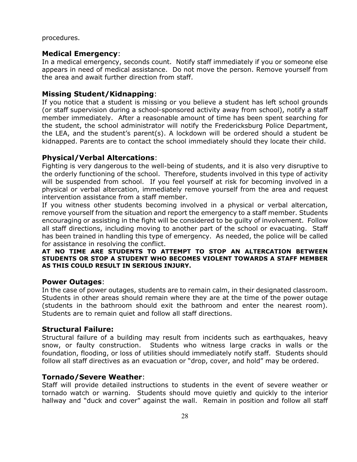procedures.

#### **Medical Emergency**:

In a medical emergency, seconds count. Notify staff immediately if you or someone else appears in need of medical assistance. Do not move the person. Remove yourself from the area and await further direction from staff.

#### **Missing Student/Kidnapping**:

If you notice that a student is missing or you believe a student has left school grounds (or staff supervision during a school-sponsored activity away from school), notify a staff member immediately. After a reasonable amount of time has been spent searching for the student, the school administrator will notify the Fredericksburg Police Department, the LEA, and the student's parent(s). A lockdown will be ordered should a student be kidnapped. Parents are to contact the school immediately should they locate their child.

#### **Physical/Verbal Altercations**:

Fighting is very dangerous to the well-being of students, and it is also very disruptive to the orderly functioning of the school. Therefore, students involved in this type of activity will be suspended from school. If you feel yourself at risk for becoming involved in a physical or verbal altercation, immediately remove yourself from the area and request intervention assistance from a staff member.

If you witness other students becoming involved in a physical or verbal altercation, remove yourself from the situation and report the emergency to a staff member. Students encouraging or assisting in the fight will be considered to be guilty of involvement. Follow all staff directions, including moving to another part of the school or evacuating. Staff has been trained in handling this type of emergency. As needed, the police will be called for assistance in resolving the conflict.

#### **AT NO TIME ARE STUDENTS TO ATTEMPT TO STOP AN ALTERCATION BETWEEN STUDENTS OR STOP A STUDENT WHO BECOMES VIOLENT TOWARDS A STAFF MEMBER AS THIS COULD RESULT IN SERIOUS INJURY.**

#### **Power Outages**:

In the case of power outages, students are to remain calm, in their designated classroom. Students in other areas should remain where they are at the time of the power outage (students in the bathroom should exit the bathroom and enter the nearest room). Students are to remain quiet and follow all staff directions.

#### **Structural Failure:**

Structural failure of a building may result from incidents such as earthquakes, heavy snow, or faulty construction. Students who witness large cracks in walls or the foundation, flooding, or loss of utilities should immediately notify staff. Students should follow all staff directives as an evacuation or "drop, cover, and hold" may be ordered.

#### **Tornado/Severe Weather**:

Staff will provide detailed instructions to students in the event of severe weather or tornado watch or warning. Students should move quietly and quickly to the interior hallway and "duck and cover" against the wall. Remain in position and follow all staff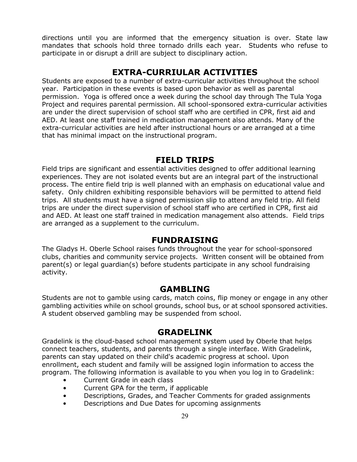directions until you are informed that the emergency situation is over. State law mandates that schools hold three tornado drills each year. Students who refuse to participate in or disrupt a drill are subject to disciplinary action.

### **EXTRA-CURRIULAR ACTIVITIES**

Students are exposed to a number of extra-curricular activities throughout the school year. Participation in these events is based upon behavior as well as parental permission. Yoga is offered once a week during the school day through The Tula Yoga Project and requires parental permission. All school-sponsored extra-curricular activities are under the direct supervision of school staff who are certified in CPR, first aid and AED. At least one staff trained in medication management also attends. Many of the extra-curricular activities are held after instructional hours or are arranged at a time that has minimal impact on the instructional program.

### **FIELD TRIPS**

Field trips are significant and essential activities designed to offer additional learning experiences. They are not isolated events but are an integral part of the instructional process. The entire field trip is well planned with an emphasis on educational value and safety. Only children exhibiting responsible behaviors will be permitted to attend field trips. All students must have a signed permission slip to attend any field trip. All field trips are under the direct supervision of school staff who are certified in CPR, first aid and AED. At least one staff trained in medication management also attends. Field trips are arranged as a supplement to the curriculum.

### **FUNDRAISING**

The Gladys H. Oberle School raises funds throughout the year for school-sponsored clubs, charities and community service projects. Written consent will be obtained from parent(s) or legal guardian(s) before students participate in any school fundraising activity.

### **GAMBLING**

Students are not to gamble using cards, match coins, flip money or engage in any other gambling activities while on school grounds, school bus, or at school sponsored activities. A student observed gambling may be suspended from school.

### **GRADELINK**

Gradelink is the cloud-based school management system used by Oberle that helps connect teachers, students, and parents through a single interface. With Gradelink, parents can stay updated on their child's academic progress at school. Upon enrollment, each student and family will be assigned login information to access the program. The following information is available to you when you log in to Gradelink:

- Current Grade in each class
- Current GPA for the term, if applicable
- Descriptions, Grades, and Teacher Comments for graded assignments
- Descriptions and Due Dates for upcoming assignments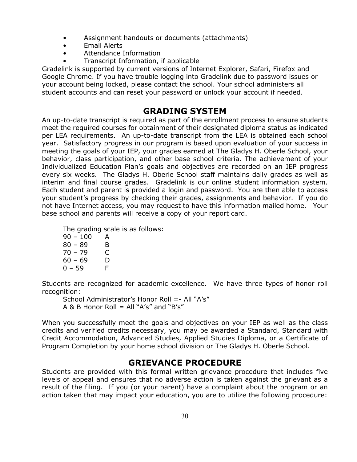- Assignment handouts or documents (attachments)
- Email Alerts
- Attendance Information
- Transcript Information, if applicable

Gradelink is supported by current versions of Internet Explorer, Safari, Firefox and Google Chrome. If you have trouble logging into Gradelink due to password issues or your account being locked, please contact the school. Your school administers all student accounts and can reset your password or unlock your account if needed.

### **GRADING SYSTEM**

An up-to-date transcript is required as part of the enrollment process to ensure students meet the required courses for obtainment of their designated diploma status as indicated per LEA requirements. An up-to-date transcript from the LEA is obtained each school year. Satisfactory progress in our program is based upon evaluation of your success in meeting the goals of your IEP, your grades earned at The Gladys H. Oberle School, your behavior, class participation, and other base school criteria. The achievement of your Individualized Education Plan's goals and objectives are recorded on an IEP progress every six weeks. The Gladys H. Oberle School staff maintains daily grades as well as interim and final course grades. Gradelink is our online student information system. Each student and parent is provided a login and password. You are then able to access your student's progress by checking their grades, assignments and behavior. If you do not have Internet access, you may request to have this information mailed home. Your base school and parents will receive a copy of your report card.

The grading scale is as follows:

| $90 - 100$ | А |
|------------|---|
| $80 - 89$  | в |
| $70 - 79$  | C |
| $60 - 69$  | D |
| 0 – 59     | F |

Students are recognized for academic excellence. We have three types of honor roll recognition:

School Administrator's Honor Roll =- All "A's" A & B Honor Roll = All " $A's''$  and " $B's''$ 

When you successfully meet the goals and objectives on your IEP as well as the class credits and verified credits necessary, you may be awarded a Standard, Standard with Credit Accommodation, Advanced Studies, Applied Studies Diploma, or a Certificate of Program Completion by your home school division or The Gladys H. Oberle School.

### **GRIEVANCE PROCEDURE**

Students are provided with this formal written grievance procedure that includes five levels of appeal and ensures that no adverse action is taken against the grievant as a result of the filing. If you (or your parent) have a complaint about the program or an action taken that may impact your education, you are to utilize the following procedure: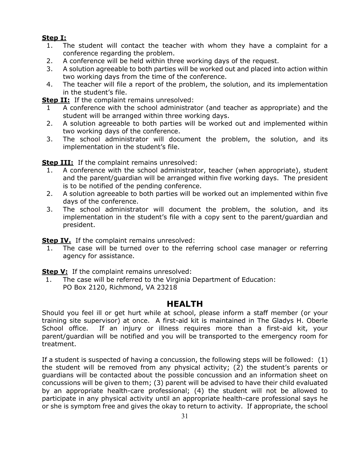### **Step I:**

- 1. The student will contact the teacher with whom they have a complaint for a conference regarding the problem.
- 2. A conference will be held within three working days of the request.
- 3. A solution agreeable to both parties will be worked out and placed into action within two working days from the time of the conference.
- 4. The teacher will file a report of the problem, the solution, and its implementation in the student's file.

**Step II:** If the complaint remains unresolved:

- 1 A conference with the school administrator (and teacher as appropriate) and the student will be arranged within three working days.
- 2. A solution agreeable to both parties will be worked out and implemented within two working days of the conference.
- 3. The school administrator will document the problem, the solution, and its implementation in the student's file.

**Step III:** If the complaint remains unresolved:

- 1. A conference with the school administrator, teacher (when appropriate), student and the parent/guardian will be arranged within five working days. The president is to be notified of the pending conference.
- 2. A solution agreeable to both parties will be worked out an implemented within five days of the conference.
- 3. The school administrator will document the problem, the solution, and its implementation in the student's file with a copy sent to the parent/guardian and president.

**Step IV.** If the complaint remains unresolved:

 1. The case will be turned over to the referring school case manager or referring agency for assistance.

**Step V:** If the complaint remains unresolved:

1. The case will be referred to the Virginia Department of Education: PO Box 2120, Richmond, VA 23218

### **HEALTH**

Should you feel ill or get hurt while at school, please inform a staff member (or your training site supervisor) at once. A first-aid kit is maintained in The Gladys H. Oberle School office. If an injury or illness requires more than a first-aid kit, your parent/guardian will be notified and you will be transported to the emergency room for treatment.

If a student is suspected of having a concussion, the following steps will be followed: (1) the student will be removed from any physical activity; (2) the student's parents or guardians will be contacted about the possible concussion and an information sheet on concussions will be given to them; (3) parent will be advised to have their child evaluated by an appropriate health-care professional; (4) the student will not be allowed to participate in any physical activity until an appropriate health-care professional says he or she is symptom free and gives the okay to return to activity. If appropriate, the school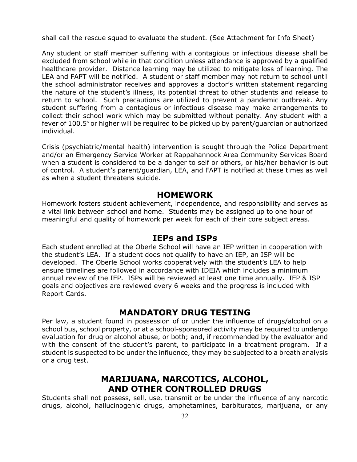shall call the rescue squad to evaluate the student. (See Attachment for Info Sheet)

Any student or staff member suffering with a contagious or infectious disease shall be excluded from school while in that condition unless attendance is approved by a qualified healthcare provider. Distance learning may be utilized to mitigate loss of learning. The LEA and FAPT will be notified. A student or staff member may not return to school until the school administrator receives and approves a doctor's written statement regarding the nature of the student's illness, its potential threat to other students and release to return to school. Such precautions are utilized to prevent a pandemic outbreak. Any student suffering from a contagious or infectious disease may make arrangements to collect their school work which may be submitted without penalty. Any student with a fever of 100.5º or higher will be required to be picked up by parent/guardian or authorized individual.

Crisis (psychiatric/mental health) intervention is sought through the Police Department and/or an Emergency Service Worker at Rappahannock Area Community Services Board when a student is considered to be a danger to self or others, or his/her behavior is out of control. A student's parent/guardian, LEA, and FAPT is notified at these times as well as when a student threatens suicide.

#### **HOMEWORK**

Homework fosters student achievement, independence, and responsibility and serves as a vital link between school and home. Students may be assigned up to one hour of meaningful and quality of homework per week for each of their core subject areas.

### **IEPs and ISPs**

Each student enrolled at the Oberle School will have an IEP written in cooperation with the student's LEA. If a student does not qualify to have an IEP, an ISP will be developed. The Oberle School works cooperatively with the student's LEA to help ensure timelines are followed in accordance with IDEIA which includes a minimum annual review of the IEP. ISPs will be reviewed at least one time annually. IEP & ISP goals and objectives are reviewed every 6 weeks and the progress is included with Report Cards.

### **MANDATORY DRUG TESTING**

Per law, a student found in possession of or under the influence of drugs/alcohol on a school bus, school property, or at a school-sponsored activity may be required to undergo evaluation for drug or alcohol abuse, or both; and, if recommended by the evaluator and with the consent of the student's parent, to participate in a treatment program. If a student is suspected to be under the influence, they may be subjected to a breath analysis or a drug test.

### **MARIJUANA, NARCOTICS, ALCOHOL, AND OTHER CONTROLLED DRUGS**

Students shall not possess, sell, use, transmit or be under the influence of any narcotic drugs, alcohol, hallucinogenic drugs, amphetamines, barbiturates, marijuana, or any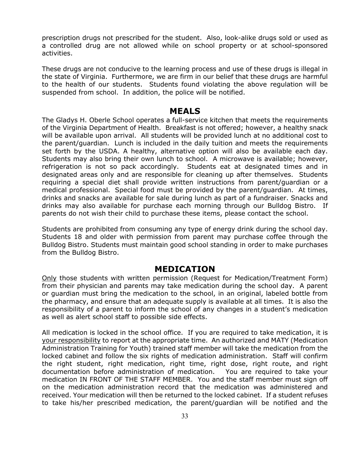prescription drugs not prescribed for the student. Also, look-alike drugs sold or used as a controlled drug are not allowed while on school property or at school-sponsored activities.

These drugs are not conducive to the learning process and use of these drugs is illegal in the state of Virginia. Furthermore, we are firm in our belief that these drugs are harmful to the health of our students. Students found violating the above regulation will be suspended from school. In addition, the police will be notified.

#### **MEALS**

The Gladys H. Oberle School operates a full-service kitchen that meets the requirements of the Virginia Department of Health. Breakfast is not offered; however, a healthy snack will be available upon arrival. All students will be provided lunch at no additional cost to the parent/guardian. Lunch is included in the daily tuition and meets the requirements set forth by the USDA. A healthy, alternative option will also be available each day. Students may also bring their own lunch to school. A microwave is available; however, refrigeration is not so pack accordingly. Students eat at designated times and in designated areas only and are responsible for cleaning up after themselves. Students requiring a special diet shall provide written instructions from parent/guardian or a medical professional. Special food must be provided by the parent/guardian. At times, drinks and snacks are available for sale during lunch as part of a fundraiser. Snacks and drinks may also available for purchase each morning through our Bulldog Bistro. If parents do not wish their child to purchase these items, please contact the school.

Students are prohibited from consuming any type of energy drink during the school day. Students 18 and older with permission from parent may purchase coffee through the Bulldog Bistro. Students must maintain good school standing in order to make purchases from the Bulldog Bistro.

### **MEDICATION**

Only those students with written permission (Request for Medication/Treatment Form) from their physician and parents may take medication during the school day. A parent or guardian must bring the medication to the school, in an original, labeled bottle from the pharmacy, and ensure that an adequate supply is available at all times. It is also the responsibility of a parent to inform the school of any changes in a student's medication as well as alert school staff to possible side effects.

All medication is locked in the school office. If you are required to take medication, it is your responsibility to report at the appropriate time. An authorized and MATY (Medication Administration Training for Youth) trained staff member will take the medication from the locked cabinet and follow the six rights of medication administration. Staff will confirm the right student, right medication, right time, right dose, right route, and right documentation before administration of medication. You are required to take your medication IN FRONT OF THE STAFF MEMBER. You and the staff member must sign off on the medication administration record that the medication was administered and received. Your medication will then be returned to the locked cabinet. If a student refuses to take his/her prescribed medication, the parent/guardian will be notified and the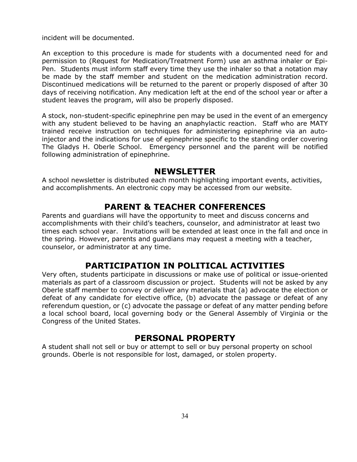incident will be documented.

An exception to this procedure is made for students with a documented need for and permission to (Request for Medication/Treatment Form) use an asthma inhaler or Epi-Pen. Students must inform staff every time they use the inhaler so that a notation may be made by the staff member and student on the medication administration record. Discontinued medications will be returned to the parent or properly disposed of after 30 days of receiving notification. Any medication left at the end of the school year or after a student leaves the program, will also be properly disposed.

A stock, non-student-specific epinephrine pen may be used in the event of an emergency with any student believed to be having an anaphylactic reaction. Staff who are MATY trained receive instruction on techniques for administering epinephrine via an autoinjector and the indications for use of epinephrine specific to the standing order covering The Gladys H. Oberle School. Emergency personnel and the parent will be notified following administration of epinephrine.

#### **NEWSLETTER**

A school newsletter is distributed each month highlighting important events, activities, and accomplishments. An electronic copy may be accessed from our website.

### **PARENT & TEACHER CONFERENCES**

Parents and guardians will have the opportunity to meet and discuss concerns and accomplishments with their child's teachers, counselor, and administrator at least two times each school year. Invitations will be extended at least once in the fall and once in the spring. However, parents and guardians may request a meeting with a teacher, counselor, or administrator at any time.

### **PARTICIPATION IN POLITICAL ACTIVITIES**

Very often, students participate in discussions or make use of political or issue-oriented materials as part of a classroom discussion or project. Students will not be asked by any Oberle staff member to convey or deliver any materials that (a) advocate the election or defeat of any candidate for elective office, (b) advocate the passage or defeat of any referendum question, or (c) advocate the passage or defeat of any matter pending before a local school board, local governing body or the General Assembly of Virginia or the Congress of the United States.

### **PERSONAL PROPERTY**

A student shall not sell or buy or attempt to sell or buy personal property on school grounds. Oberle is not responsible for lost, damaged, or stolen property.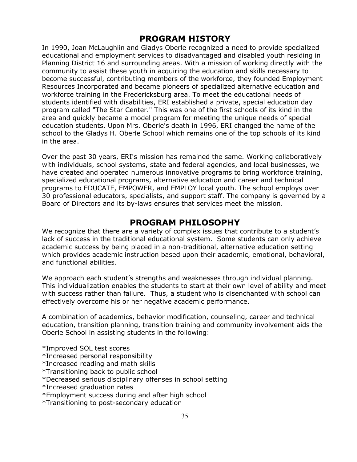### **PROGRAM HISTORY**

In 1990, Joan McLaughlin and Gladys Oberle recognized a need to provide specialized educational and employment services to disadvantaged and disabled youth residing in Planning District 16 and surrounding areas. With a mission of working directly with the community to assist these youth in acquiring the education and skills necessary to become successful, contributing members of the workforce, they founded Employment Resources Incorporated and became pioneers of specialized alternative education and workforce training in the Fredericksburg area. To meet the educational needs of students identified with disabilities, ERI established a private, special education day program called "The Star Center." This was one of the first schools of its kind in the area and quickly became a model program for meeting the unique needs of special education students. Upon Mrs. Oberle's death in 1996, ERI changed the name of the school to the Gladys H. Oberle School which remains one of the top schools of its kind in the area.

Over the past 30 years, ERI's mission has remained the same. Working collaboratively with individuals, school systems, state and federal agencies, and local businesses, we have created and operated numerous innovative programs to bring workforce training, specialized educational programs, alternative education and career and technical programs to EDUCATE, EMPOWER, and EMPLOY local youth. The school employs over 30 professional educators, specialists, and support staff. The company is governed by a Board of Directors and its by-laws ensures that services meet the mission.

### **PROGRAM PHILOSOPHY**

We recognize that there are a variety of complex issues that contribute to a student's lack of success in the traditional educational system. Some students can only achieve academic success by being placed in a non-traditional, alternative education setting which provides academic instruction based upon their academic, emotional, behavioral, and functional abilities.

We approach each student's strengths and weaknesses through individual planning. This individualization enables the students to start at their own level of ability and meet with success rather than failure. Thus, a student who is disenchanted with school can effectively overcome his or her negative academic performance.

A combination of academics, behavior modification, counseling, career and technical education, transition planning, transition training and community involvement aids the Oberle School in assisting students in the following:

\*Improved SOL test scores

\*Increased personal responsibility

- \*Increased reading and math skills
- \*Transitioning back to public school
- \*Decreased serious disciplinary offenses in school setting
- \*Increased graduation rates
- \*Employment success during and after high school
- \*Transitioning to post-secondary education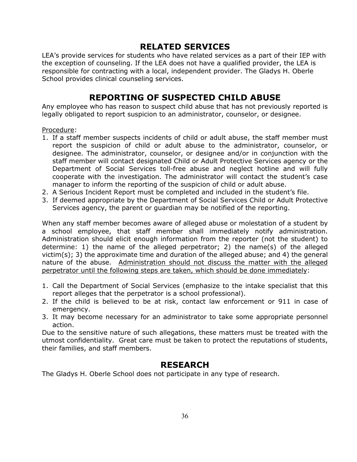### **RELATED SERVICES**

LEA's provide services for students who have related services as a part of their IEP with the exception of counseling. If the LEA does not have a qualified provider, the LEA is responsible for contracting with a local, independent provider. The Gladys H. Oberle School provides clinical counseling services.

### **REPORTING OF SUSPECTED CHILD ABUSE**

Any employee who has reason to suspect child abuse that has not previously reported is legally obligated to report suspicion to an administrator, counselor, or designee.

Procedure:

- 1. If a staff member suspects incidents of child or adult abuse, the staff member must report the suspicion of child or adult abuse to the administrator, counselor, or designee. The administrator, counselor, or designee and/or in conjunction with the staff member will contact designated Child or Adult Protective Services agency or the Department of Social Services toll-free abuse and neglect hotline and will fully cooperate with the investigation. The administrator will contact the student's case manager to inform the reporting of the suspicion of child or adult abuse.
- 2. A Serious Incident Report must be completed and included in the student's file.
- 3. If deemed appropriate by the Department of Social Services Child or Adult Protective Services agency, the parent or guardian may be notified of the reporting.

When any staff member becomes aware of alleged abuse or molestation of a student by a school employee, that staff member shall immediately notify administration. Administration should elicit enough information from the reporter (not the student) to determine: 1) the name of the alleged perpetrator; 2) the name(s) of the alleged victim(s); 3) the approximate time and duration of the alleged abuse; and 4) the general nature of the abuse. Administration should not discuss the matter with the alleged perpetrator until the following steps are taken, which should be done immediately:

- 1. Call the Department of Social Services (emphasize to the intake specialist that this report alleges that the perpetrator is a school professional).
- 2. If the child is believed to be at risk, contact law enforcement or 911 in case of emergency.
- 3. It may become necessary for an administrator to take some appropriate personnel action.

Due to the sensitive nature of such allegations, these matters must be treated with the utmost confidentiality. Great care must be taken to protect the reputations of students, their families, and staff members.

### **RESEARCH**

The Gladys H. Oberle School does not participate in any type of research.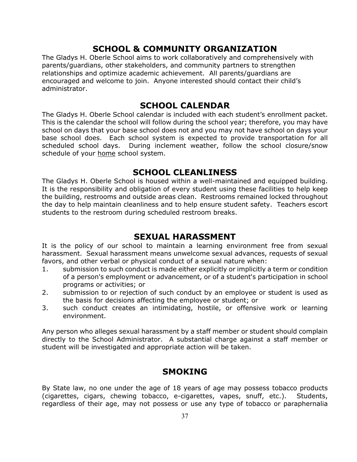### **SCHOOL & COMMUNITY ORGANIZATION**

The Gladys H. Oberle School aims to work collaboratively and comprehensively with parents/guardians, other stakeholders, and community partners to strengthen relationships and optimize academic achievement. All parents/guardians are encouraged and welcome to join. Anyone interested should contact their child's administrator.

### **SCHOOL CALENDAR**

The Gladys H. Oberle School calendar is included with each student's enrollment packet. This is the calendar the school will follow during the school year; therefore, you may have school on days that your base school does not and you may not have school on days your base school does. Each school system is expected to provide transportation for all scheduled school days. During inclement weather, follow the school closure/snow schedule of your home school system.

### **SCHOOL CLEANLINESS**

The Gladys H. Oberle School is housed within a well-maintained and equipped building. It is the responsibility and obligation of every student using these facilities to help keep the building, restrooms and outside areas clean. Restrooms remained locked throughout the day to help maintain cleanliness and to help ensure student safety. Teachers escort students to the restroom during scheduled restroom breaks.

### **SEXUAL HARASSMENT**

It is the policy of our school to maintain a learning environment free from sexual harassment. Sexual harassment means unwelcome sexual advances, requests of sexual favors, and other verbal or physical conduct of a sexual nature when:

- 1. submission to such conduct is made either explicitly or implicitly a term or condition of a person's employment or advancement, or of a student's participation in school programs or activities; or
- 2. submission to or rejection of such conduct by an employee or student is used as the basis for decisions affecting the employee or student; or
- 3. such conduct creates an intimidating, hostile, or offensive work or learning environment.

Any person who alleges sexual harassment by a staff member or student should complain directly to the School Administrator. A substantial charge against a staff member or student will be investigated and appropriate action will be taken.

### **SMOKING**

By State law, no one under the age of 18 years of age may possess tobacco products (cigarettes, cigars, chewing tobacco, e-cigarettes, vapes, snuff, etc.). Students, regardless of their age, may not possess or use any type of tobacco or paraphernalia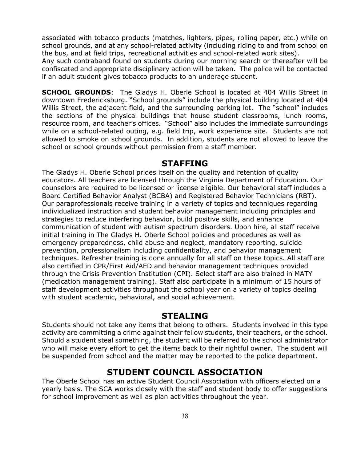associated with tobacco products (matches, lighters, pipes, rolling paper, etc.) while on school grounds, and at any school-related activity (including riding to and from school on the bus, and at field trips, recreational activities and school-related work sites).

Any such contraband found on students during our morning search or thereafter will be confiscated and appropriate disciplinary action will be taken. The police will be contacted if an adult student gives tobacco products to an underage student.

**SCHOOL GROUNDS:** The Gladys H. Oberle School is located at 404 Willis Street in downtown Fredericksburg. "School grounds" include the physical building located at 404 Willis Street, the adjacent field, and the surrounding parking lot. The "school" includes the sections of the physical buildings that house student classrooms, lunch rooms, resource room, and teacher's offices. "School" also includes the immediate surroundings while on a school-related outing, e.g. field trip, work experience site. Students are not allowed to smoke on school grounds. In addition, students are not allowed to leave the school or school grounds without permission from a staff member.

#### **STAFFING**

The Gladys H. Oberle School prides itself on the quality and retention of quality educators. All teachers are licensed through the Virginia Department of Education. Our counselors are required to be licensed or license eligible. Our behavioral staff includes a Board Certified Behavior Analyst (BCBA) and Registered Behavior Technicians (RBT). Our paraprofessionals receive training in a variety of topics and techniques regarding individualized instruction and student behavior management including principles and strategies to reduce interfering behavior, build positive skills, and enhance communication of student with autism spectrum disorders. Upon hire, all staff receive initial training in The Gladys H. Oberle School policies and procedures as well as emergency preparedness, child abuse and neglect, mandatory reporting, suicide prevention, professionalism including confidentiality, and behavior management techniques. Refresher training is done annually for all staff on these topics. All staff are also certified in CPR/First Aid/AED and behavior management techniques provided through the Crisis Prevention Institution (CPI). Select staff are also trained in MATY (medication management training). Staff also participate in a minimum of 15 hours of staff development activities throughout the school year on a variety of topics dealing with student academic, behavioral, and social achievement.

### **STEALING**

Students should not take any items that belong to others. Students involved in this type activity are committing a crime against their fellow students, their teachers, or the school. Should a student steal something, the student will be referred to the school administrator who will make every effort to get the items back to their rightful owner. The student will be suspended from school and the matter may be reported to the police department.

### **STUDENT COUNCIL ASSOCIATION**

The Oberle School has an active Student Council Association with officers elected on a yearly basis. The SCA works closely with the staff and student body to offer suggestions for school improvement as well as plan activities throughout the year.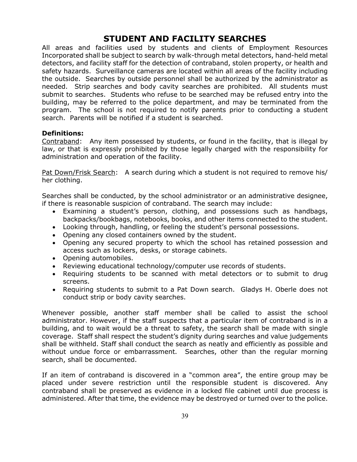### **STUDENT AND FACILITY SEARCHES**

All areas and facilities used by students and clients of Employment Resources Incorporated shall be subject to search by walk-through metal detectors, hand-held metal detectors, and facility staff for the detection of contraband, stolen property, or health and safety hazards. Surveillance cameras are located within all areas of the facility including the outside. Searches by outside personnel shall be authorized by the administrator as needed. Strip searches and body cavity searches are prohibited. All students must submit to searches. Students who refuse to be searched may be refused entry into the building, may be referred to the police department, and may be terminated from the program. The school is not required to notify parents prior to conducting a student search. Parents will be notified if a student is searched.

#### **Definitions:**

Contraband: Any item possessed by students, or found in the facility, that is illegal by law, or that is expressly prohibited by those legally charged with the responsibility for administration and operation of the facility.

Pat Down/Frisk Search: A search during which a student is not required to remove his/ her clothing.

Searches shall be conducted, by the school administrator or an administrative designee, if there is reasonable suspicion of contraband. The search may include:

- Examining a student's person, clothing, and possessions such as handbags, backpacks/bookbags, notebooks, books, and other items connected to the student.
- Looking through, handling, or feeling the student's personal possessions.
- Opening any closed containers owned by the student.
- Opening any secured property to which the school has retained possession and access such as lockers, desks, or storage cabinets.
- Opening automobiles.
- Reviewing educational technology/computer use records of students.
- Requiring students to be scanned with metal detectors or to submit to drug screens.
- Requiring students to submit to a Pat Down search. Gladys H. Oberle does not conduct strip or body cavity searches.

Whenever possible, another staff member shall be called to assist the school administrator. However, if the staff suspects that a particular item of contraband is in a building, and to wait would be a threat to safety, the search shall be made with single coverage. Staff shall respect the student's dignity during searches and value judgements shall be withheld. Staff shall conduct the search as neatly and efficiently as possible and without undue force or embarrassment. Searches, other than the regular morning search, shall be documented.

If an item of contraband is discovered in a "common area", the entire group may be placed under severe restriction until the responsible student is discovered. Any contraband shall be preserved as evidence in a locked file cabinet until due process is administered. After that time, the evidence may be destroyed or turned over to the police.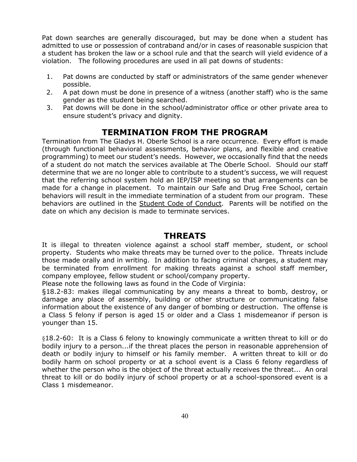Pat down searches are generally discouraged, but may be done when a student has admitted to use or possession of contraband and/or in cases of reasonable suspicion that a student has broken the law or a school rule and that the search will yield evidence of a violation. The following procedures are used in all pat downs of students:

- 1. Pat downs are conducted by staff or administrators of the same gender whenever possible.
- 2. A pat down must be done in presence of a witness (another staff) who is the same gender as the student being searched.
- 3. Pat downs will be done in the school/administrator office or other private area to ensure student's privacy and dignity.

### **TERMINATION FROM THE PROGRAM**

Termination from The Gladys H. Oberle School is a rare occurrence. Every effort is made (through functional behavioral assessments, behavior plans, and flexible and creative programming) to meet our student's needs. However, we occasionally find that the needs of a student do not match the services available at The Oberle School. Should our staff determine that we are no longer able to contribute to a student's success, we will request that the referring school system hold an IEP/ISP meeting so that arrangements can be made for a change in placement. To maintain our Safe and Drug Free School, certain behaviors will result in the immediate termination of a student from our program. These behaviors are outlined in the Student Code of Conduct. Parents will be notified on the date on which any decision is made to terminate services.

### **THREATS**

It is illegal to threaten violence against a school staff member, student, or school property. Students who make threats may be turned over to the police. Threats include those made orally and in writing. In addition to facing criminal charges, a student may be terminated from enrollment for making threats against a school staff member, company employee, fellow student or school/company property.

Please note the following laws as found in the Code of Virginia:

§18.2-83: makes illegal communicating by any means a threat to bomb, destroy, or damage any place of assembly, building or other structure or communicating false information about the existence of any danger of bombing or destruction. The offense is a Class 5 felony if person is aged 15 or older and a Class 1 misdemeanor if person is younger than 15.

§18.2-60: It is a Class 6 felony to knowingly communicate a written threat to kill or do bodily injury to a person...if the threat places the person in reasonable apprehension of death or bodily injury to himself or his family member. A written threat to kill or do bodily harm on school property or at a school event is a Class 6 felony regardless of whether the person who is the object of the threat actually receives the threat... An oral threat to kill or do bodily injury of school property or at a school-sponsored event is a Class 1 misdemeanor.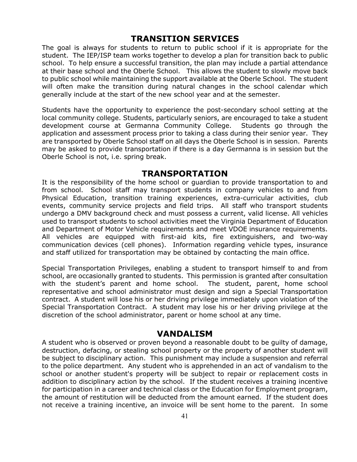### **TRANSITION SERVICES**

The goal is always for students to return to public school if it is appropriate for the student. The IEP/ISP team works together to develop a plan for transition back to public school. To help ensure a successful transition, the plan may include a partial attendance at their base school and the Oberle School. This allows the student to slowly move back to public school while maintaining the support available at the Oberle School. The student will often make the transition during natural changes in the school calendar which generally include at the start of the new school year and at the semester.

Students have the opportunity to experience the post-secondary school setting at the local community college. Students, particularly seniors, are encouraged to take a student development course at Germanna Community College. Students go through the application and assessment process prior to taking a class during their senior year. They are transported by Oberle School staff on all days the Oberle School is in session. Parents may be asked to provide transportation if there is a day Germanna is in session but the Oberle School is not, i.e. spring break.

### **TRANSPORTATION**

It is the responsibility of the home school or guardian to provide transportation to and from school. School staff may transport students in company vehicles to and from Physical Education, transition training experiences, extra-curricular activities, club events, community service projects and field trips. All staff who transport students undergo a DMV background check and must possess a current, valid license. All vehicles used to transport students to school activities meet the Virginia Department of Education and Department of Motor Vehicle requirements and meet VDOE insurance requirements. All vehicles are equipped with first-aid kits, fire extinguishers, and two-way communication devices (cell phones). Information regarding vehicle types, insurance and staff utilized for transportation may be obtained by contacting the main office.

Special Transportation Privileges, enabling a student to transport himself to and from school, are occasionally granted to students. This permission is granted after consultation with the student's parent and home school. The student, parent, home school representative and school administrator must design and sign a Special Transportation contract. A student will lose his or her driving privilege immediately upon violation of the Special Transportation Contract. A student may lose his or her driving privilege at the discretion of the school administrator, parent or home school at any time.

### **VANDALISM**

A student who is observed or proven beyond a reasonable doubt to be guilty of damage, destruction, defacing, or stealing school property or the property of another student will be subject to disciplinary action. This punishment may include a suspension and referral to the police department. Any student who is apprehended in an act of vandalism to the school or another student's property will be subject to repair or replacement costs in addition to disciplinary action by the school. If the student receives a training incentive for participation in a career and technical class or the Education for Employment program, the amount of restitution will be deducted from the amount earned. If the student does not receive a training incentive, an invoice will be sent home to the parent. In some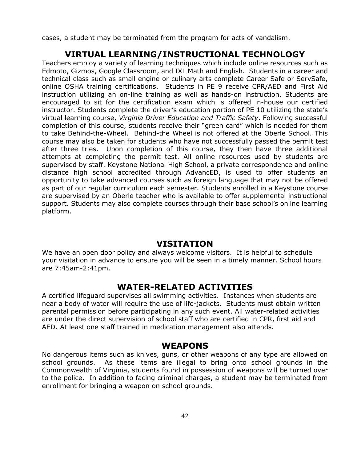cases, a student may be terminated from the program for acts of vandalism.

### **VIRTUAL LEARNING/INSTRUCTIONAL TECHNOLOGY**

Teachers employ a variety of learning techniques which include online resources such as Edmoto, Gizmos, Google Classroom, and IXL Math and English. Students in a career and technical class such as small engine or culinary arts complete Career Safe or ServSafe, online OSHA training certifications. Students in PE 9 receive CPR/AED and First Aid instruction utilizing an on-line training as well as hands-on instruction. Students are encouraged to sit for the certification exam which is offered in-house our certified instructor. Students complete the driver's education portion of PE 10 utilizing the state's virtual learning course, *Virginia Driver Education and Traffic Safety*. Following successful completion of this course, students receive their "green card" which is needed for them to take Behind-the-Wheel. Behind-the Wheel is not offered at the Oberle School. This course may also be taken for students who have not successfully passed the permit test after three tries. Upon completion of this course, they then have three additional attempts at completing the permit test. All online resources used by students are supervised by staff. Keystone National High School, a private correspondence and online distance high school accredited through AdvancED, is used to offer students an opportunity to take advanced courses such as foreign language that may not be offered as part of our regular curriculum each semester. Students enrolled in a Keystone course are supervised by an Oberle teacher who is available to offer supplemental instructional support. Students may also complete courses through their base school's online learning platform.

### **VISITATION**

We have an open door policy and always welcome visitors. It is helpful to schedule your visitation in advance to ensure you will be seen in a timely manner. School hours are 7:45am-2:41pm.

#### **WATER-RELATED ACTIVITIES**

A certified lifeguard supervises all swimming activities. Instances when students are near a body of water will require the use of life-jackets. Students must obtain written parental permission before participating in any such event. All water-related activities are under the direct supervision of school staff who are certified in CPR, first aid and AED. At least one staff trained in medication management also attends.

#### **WEAPONS**

No dangerous items such as knives, guns, or other weapons of any type are allowed on school grounds. As these items are illegal to bring onto school grounds in the Commonwealth of Virginia, students found in possession of weapons will be turned over to the police. In addition to facing criminal charges, a student may be terminated from enrollment for bringing a weapon on school grounds.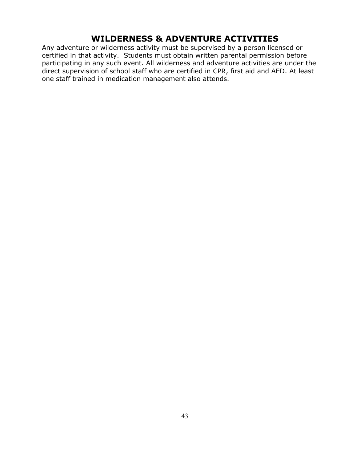### **WILDERNESS & ADVENTURE ACTIVITIES**

Any adventure or wilderness activity must be supervised by a person licensed or certified in that activity. Students must obtain written parental permission before participating in any such event. All wilderness and adventure activities are under the direct supervision of school staff who are certified in CPR, first aid and AED. At least one staff trained in medication management also attends.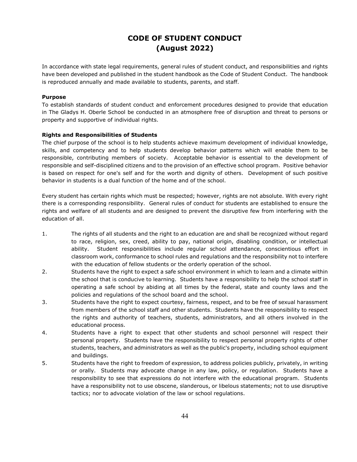### **CODE OF STUDENT CONDUCT (August 2022)**

In accordance with state legal requirements, general rules of student conduct, and responsibilities and rights have been developed and published in the student handbook as the Code of Student Conduct. The handbook is reproduced annually and made available to students, parents, and staff.

#### **Purpose**

To establish standards of student conduct and enforcement procedures designed to provide that education in The Gladys H. Oberle School be conducted in an atmosphere free of disruption and threat to persons or property and supportive of individual rights.

#### **Rights and Responsibilities of Students**

The chief purpose of the school is to help students achieve maximum development of individual knowledge, skills, and competency and to help students develop behavior patterns which will enable them to be responsible, contributing members of society. Acceptable behavior is essential to the development of responsible and self-disciplined citizens and to the provision of an effective school program. Positive behavior is based on respect for one's self and for the worth and dignity of others. Development of such positive behavior in students is a dual function of the home and of the school.

Every student has certain rights which must be respected; however, rights are not absolute. With every right there is a corresponding responsibility. General rules of conduct for students are established to ensure the rights and welfare of all students and are designed to prevent the disruptive few from interfering with the education of all.

- 1. The rights of all students and the right to an education are and shall be recognized without regard to race, religion, sex, creed, ability to pay, national origin, disabling condition, or intellectual ability. Student responsibilities include regular school attendance, conscientious effort in classroom work, conformance to school rules and regulations and the responsibility not to interfere with the education of fellow students or the orderly operation of the school.
- 2. Students have the right to expect a safe school environment in which to learn and a climate within the school that is conducive to learning. Students have a responsibility to help the school staff in operating a safe school by abiding at all times by the federal, state and county laws and the policies and regulations of the school board and the school.
- 3. Students have the right to expect courtesy, fairness, respect, and to be free of sexual harassment from members of the school staff and other students. Students have the responsibility to respect the rights and authority of teachers, students, administrators, and all others involved in the educational process.
- 4. Students have a right to expect that other students and school personnel will respect their personal property. Students have the responsibility to respect personal property rights of other students, teachers, and administrators as well as the public's property, including school equipment and buildings.
- 5. Students have the right to freedom of expression, to address policies publicly, privately, in writing or orally. Students may advocate change in any law, policy, or regulation. Students have a responsibility to see that expressions do not interfere with the educational program. Students have a responsibility not to use obscene, slanderous, or libelous statements; not to use disruptive tactics; nor to advocate violation of the law or school regulations.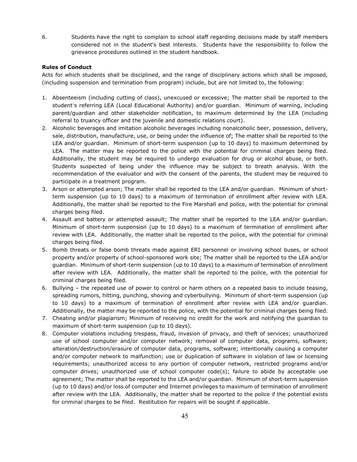6. Students have the right to complain to school staff regarding decisions made by staff members considered not in the student's best interests. Students have the responsibility to follow the grievance procedures outlined in the student handbook.

#### **Rules of Conduct**

Acts for which students shall be disciplined, and the range of disciplinary actions which shall be imposed, (including suspension and termination from program) include, but are not limited to, the following:

- 1. Absenteeism (including cutting of class), unexcused or excessive; The matter shall be reported to the student's referring LEA (Local Educational Authority) and/or guardian. Minimum of warning, including parent/guardian and other stakeholder notification, to maximum determined by the LEA (including referral to truancy officer and the juvenile and domestic relations court).
- 2. Alcoholic beverages and imitation alcoholic beverages including nonalcoholic beer, possession, delivery, sale, distribution, manufacture, use, or being under the influence of; The matter shall be reported to the LEA and/or guardian. Minimum of short-term suspension (up to 10 days) to maximum determined by LEA. The matter may be reported to the police with the potential for criminal charges being filed. Additionally, the student may be required to undergo evaluation for drug or alcohol abuse, or both. Students suspected of being under the influence may be subject to breath analysis. With the recommendation of the evaluator and with the consent of the parents, the student may be required to participate in a treatment program.
- 3. Arson or attempted arson; The matter shall be reported to the LEA and/or guardian. Minimum of shortterm suspension (up to 10 days) to a maximum of termination of enrollment after review with LEA. Additionally, the matter shall be reported to the Fire Marshall and police, with the potential for criminal charges being filed.
- 4. Assault and battery or attempted assault; The matter shall be reported to the LEA and/or guardian. Minimum of short-term suspension (up to 10 days) to a maximum of termination of enrollment after review with LEA. Additionally, the matter shall be reported to the police, with the potential for criminal charges being filed.
- 5. Bomb threats or false bomb threats made against ERI personnel or involving school buses, or school property and/or property of school-sponsored work site; The matter shall be reported to the LEA and/or guardian. Minimum of short-term suspension (up to 10 days) to a maximum of termination of enrollment after review with LEA. Additionally, the matter shall be reported to the police, with the potential for criminal charges being filed.
- 6. Bullying the repeated use of power to control or harm others on a repeated basis to include teasing, spreading rumors, hitting, punching, shoving and cyberbullying. Minimum of short-term suspension (up to 10 days) to a maximum of termination of enrollment after review with LEA and/or guardian. Additionally, the matter may be reported to the police, with the potential for criminal charges being filed.
- 7. Cheating and/or plagiarism; Minimum of receiving no credit for the work and notifying the guardian to maximum of short-term suspension (up to 10 days).
- 8. Computer violations including trespass, fraud, invasion of privacy, and theft of services; unauthorized use of school computer and/or computer network; removal of computer data, programs, software; alteration/destruction/erasure of computer data, programs, software; intentionally causing a computer and/or computer network to malfunction; use or duplication of software in violation of law or licensing requirements; unauthorized access to any portion of computer network, restricted programs and/or computer drives; unauthorized use of school computer code(s); failure to abide by acceptable use agreement; The matter shall be reported to the LEA and/or guardian. Minimum of short-term suspension (up to 10 days) and/or loss of computer and Internet privileges to maximum of termination of enrollment after review with the LEA. Additionally, the matter shall be reported to the police if the potential exists for criminal charges to be filed. Restitution for repairs will be sought if applicable.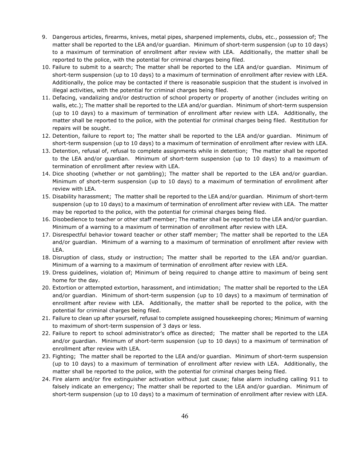- 9. Dangerous articles, firearms, knives, metal pipes, sharpened implements, clubs, etc., possession of; The matter shall be reported to the LEA and/or guardian. Minimum of short-term suspension (up to 10 days) to a maximum of termination of enrollment after review with LEA. Additionally, the matter shall be reported to the police, with the potential for criminal charges being filed.
- 10. Failure to submit to a search; The matter shall be reported to the LEA and/or guardian. Minimum of short-term suspension (up to 10 days) to a maximum of termination of enrollment after review with LEA. Additionally, the police may be contacted if there is reasonable suspicion that the student is involved in illegal activities, with the potential for criminal charges being filed.
- 11. Defacing, vandalizing and/or destruction of school property or property of another (includes writing on walls, etc.); The matter shall be reported to the LEA and/or guardian. Minimum of short-term suspension (up to 10 days) to a maximum of termination of enrollment after review with LEA. Additionally, the matter shall be reported to the police, with the potential for criminal charges being filed. Restitution for repairs will be sought.
- 12. Detention, failure to report to; The matter shall be reported to the LEA and/or guardian. Minimum of short-term suspension (up to 10 days) to a maximum of termination of enrollment after review with LEA.
- 13. Detention, refusal of, refusal to complete assignments while in detention; The matter shall be reported to the LEA and/or guardian. Minimum of short-term suspension (up to 10 days) to a maximum of termination of enrollment after review with LEA.
- 14. Dice shooting (whether or not gambling); The matter shall be reported to the LEA and/or guardian. Minimum of short-term suspension (up to 10 days) to a maximum of termination of enrollment after review with LEA.
- 15. Disability harassment; The matter shall be reported to the LEA and/or guardian. Minimum of short-term suspension (up to 10 days) to a maximum of termination of enrollment after review with LEA. The matter may be reported to the police, with the potential for criminal charges being filed.
- 16. Disobedience to teacher or other staff member; The matter shall be reported to the LEA and/or guardian. Minimum of a warning to a maximum of termination of enrollment after review with LEA.
- 17. Disrespectful behavior toward teacher or other staff member; The matter shall be reported to the LEA and/or guardian. Minimum of a warning to a maximum of termination of enrollment after review with LEA.
- 18. Disruption of class, study or instruction; The matter shall be reported to the LEA and/or guardian. Minimum of a warning to a maximum of termination of enrollment after review with LEA.
- 19. Dress guidelines, violation of; Minimum of being required to change attire to maximum of being sent home for the day.
- 20. Extortion or attempted extortion, harassment, and intimidation; The matter shall be reported to the LEA and/or guardian. Minimum of short-term suspension (up to 10 days) to a maximum of termination of enrollment after review with LEA. Additionally, the matter shall be reported to the police, with the potential for criminal charges being filed.
- 21. Failure to clean up after yourself, refusal to complete assigned housekeeping chores; Minimum of warning to maximum of short-term suspension of 3 days or less.
- 22. Failure to report to school administrator's office as directed; The matter shall be reported to the LEA and/or guardian. Minimum of short-term suspension (up to 10 days) to a maximum of termination of enrollment after review with LEA.
- 23. Fighting; The matter shall be reported to the LEA and/or guardian. Minimum of short-term suspension (up to 10 days) to a maximum of termination of enrollment after review with LEA. Additionally, the matter shall be reported to the police, with the potential for criminal charges being filed.
- 24. Fire alarm and/or fire extinguisher activation without just cause; false alarm including calling 911 to falsely indicate an emergency; The matter shall be reported to the LEA and/or guardian. Minimum of short-term suspension (up to 10 days) to a maximum of termination of enrollment after review with LEA.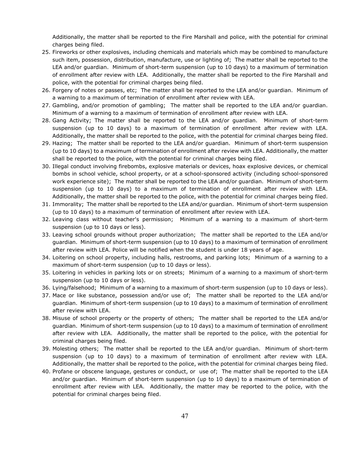Additionally, the matter shall be reported to the Fire Marshall and police, with the potential for criminal charges being filed.

- 25. Fireworks or other explosives, including chemicals and materials which may be combined to manufacture such item, possession, distribution, manufacture, use or lighting of; The matter shall be reported to the LEA and/or guardian. Minimum of short-term suspension (up to 10 days) to a maximum of termination of enrollment after review with LEA. Additionally, the matter shall be reported to the Fire Marshall and police, with the potential for criminal charges being filed.
- 26. Forgery of notes or passes, etc; The matter shall be reported to the LEA and/or guardian. Minimum of a warning to a maximum of termination of enrollment after review with LEA.
- 27. Gambling, and/or promotion of gambling; The matter shall be reported to the LEA and/or guardian. Minimum of a warning to a maximum of termination of enrollment after review with LEA.
- 28. Gang Activity; The matter shall be reported to the LEA and/or guardian. Minimum of short-term suspension (up to 10 days) to a maximum of termination of enrollment after review with LEA. Additionally, the matter shall be reported to the police, with the potential for criminal charges being filed.
- 29. Hazing; The matter shall be reported to the LEA and/or guardian. Minimum of short-term suspension (up to 10 days) to a maximum of termination of enrollment after review with LEA. Additionally, the matter shall be reported to the police, with the potential for criminal charges being filed.
- 30. Illegal conduct involving firebombs, explosive materials or devices, hoax explosive devices, or chemical bombs in school vehicle, school property, or at a school-sponsored activity (including school-sponsored work experience site); The matter shall be reported to the LEA and/or guardian. Minimum of short-term suspension (up to 10 days) to a maximum of termination of enrollment after review with LEA. Additionally, the matter shall be reported to the police, with the potential for criminal charges being filed.
- 31. Immorality; The matter shall be reported to the LEA and/or guardian. Minimum of short-term suspension (up to 10 days) to a maximum of termination of enrollment after review with LEA.
- 32. Leaving class without teacher's permission; Minimum of a warning to a maximum of short-term suspension (up to 10 days or less).
- 33. Leaving school grounds without proper authorization; The matter shall be reported to the LEA and/or guardian. Minimum of short-term suspension (up to 10 days) to a maximum of termination of enrollment after review with LEA. Police will be notified when the student is under 18 years of age.
- 34. Loitering on school property, including halls, restrooms, and parking lots; Minimum of a warning to a maximum of short-term suspension (up to 10 days or less).
- 35. Loitering in vehicles in parking lots or on streets; Minimum of a warning to a maximum of short-term suspension (up to 10 days or less).
- 36. Lying/falsehood; Minimum of a warning to a maximum of short-term suspension (up to 10 days or less).
- 37. Mace or like substance, possession and/or use of; The matter shall be reported to the LEA and/or guardian. Minimum of short-term suspension (up to 10 days) to a maximum of termination of enrollment after review with LEA.
- 38. Misuse of school property or the property of others; The matter shall be reported to the LEA and/or guardian. Minimum of short-term suspension (up to 10 days) to a maximum of termination of enrollment after review with LEA. Additionally, the matter shall be reported to the police, with the potential for criminal charges being filed.
- 39. Molesting others; The matter shall be reported to the LEA and/or guardian. Minimum of short-term suspension (up to 10 days) to a maximum of termination of enrollment after review with LEA. Additionally, the matter shall be reported to the police, with the potential for criminal charges being filed.
- 40. Profane or obscene language, gestures or conduct, or use of; The matter shall be reported to the LEA and/or guardian. Minimum of short-term suspension (up to 10 days) to a maximum of termination of enrollment after review with LEA. Additionally, the matter may be reported to the police, with the potential for criminal charges being filed.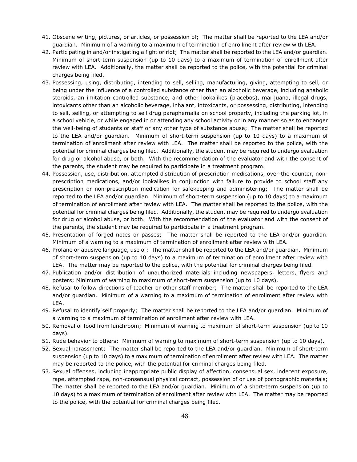- 41. Obscene writing, pictures, or articles, or possession of; The matter shall be reported to the LEA and/or guardian. Minimum of a warning to a maximum of termination of enrollment after review with LEA.
- 42. Participating in and/or instigating a fight or riot; The matter shall be reported to the LEA and/or guardian. Minimum of short-term suspension (up to 10 days) to a maximum of termination of enrollment after review with LEA. Additionally, the matter shall be reported to the police, with the potential for criminal charges being filed.
- 43. Possessing, using, distributing, intending to sell, selling, manufacturing, giving, attempting to sell, or being under the influence of a controlled substance other than an alcoholic beverage, including anabolic steroids, an imitation controlled substance, and other lookalikes (placebos), marijuana, illegal drugs, intoxicants other than an alcoholic beverage, inhalant, intoxicants, or possessing, distributing, intending to sell, selling, or attempting to sell drug paraphernalia on school property, including the parking lot, in a school vehicle, or while engaged in or attending any school activity or in any manner so as to endanger the well-being of students or staff or any other type of substance abuse; The matter shall be reported to the LEA and/or guardian. Minimum of short-term suspension (up to 10 days) to a maximum of termination of enrollment after review with LEA. The matter shall be reported to the police, with the potential for criminal charges being filed. Additionally, the student may be required to undergo evaluation for drug or alcohol abuse, or both. With the recommendation of the evaluator and with the consent of the parents, the student may be required to participate in a treatment program.
- 44. Possession, use, distribution, attempted distribution of prescription medications, over-the-counter, nonprescription medications, and/or lookalikes in conjunction with failure to provide to school staff any prescription or non-prescription medication for safekeeping and administering; The matter shall be reported to the LEA and/or guardian. Minimum of short-term suspension (up to 10 days) to a maximum of termination of enrollment after review with LEA. The matter shall be reported to the police, with the potential for criminal charges being filed. Additionally, the student may be required to undergo evaluation for drug or alcohol abuse, or both. With the recommendation of the evaluator and with the consent of the parents, the student may be required to participate in a treatment program.
- 45. Presentation of forged notes or passes; The matter shall be reported to the LEA and/or guardian. Minimum of a warning to a maximum of termination of enrollment after review with LEA.
- 46. Profane or abusive language, use of; The matter shall be reported to the LEA and/or guardian. Minimum of short-term suspension (up to 10 days) to a maximum of termination of enrollment after review with LEA. The matter may be reported to the police, with the potential for criminal charges being filed.
- 47. Publication and/or distribution of unauthorized materials including newspapers, letters, flyers and posters; Minimum of warning to maximum of short-term suspension (up to 10 days).
- 48. Refusal to follow directions of teacher or other staff member; The matter shall be reported to the LEA and/or guardian. Minimum of a warning to a maximum of termination of enrollment after review with LEA.
- 49. Refusal to identify self properly; The matter shall be reported to the LEA and/or guardian. Minimum of a warning to a maximum of termination of enrollment after review with LEA.
- 50. Removal of food from lunchroom; Minimum of warning to maximum of short-term suspension (up to 10 days).
- 51. Rude behavior to others; Minimum of warning to maximum of short-term suspension (up to 10 days).
- 52. Sexual harassment; The matter shall be reported to the LEA and/or guardian. Minimum of short-term suspension (up to 10 days) to a maximum of termination of enrollment after review with LEA. The matter may be reported to the police, with the potential for criminal charges being filed.
- 53. Sexual offenses, including inappropriate public display of affection, consensual sex, indecent exposure, rape, attempted rape, non-consensual physical contact, possession of or use of pornographic materials; The matter shall be reported to the LEA and/or guardian. Minimum of a short-term suspension (up to 10 days) to a maximum of termination of enrollment after review with LEA. The matter may be reported to the police, with the potential for criminal charges being filed.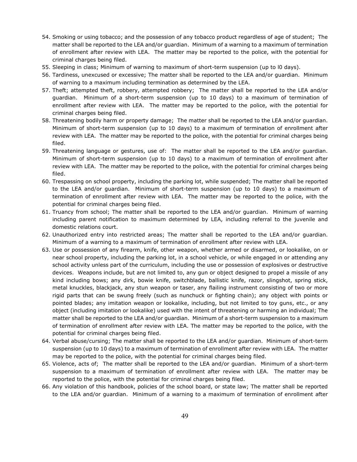- 54. Smoking or using tobacco; and the possession of any tobacco product regardless of age of student; The matter shall be reported to the LEA and/or guardian. Minimum of a warning to a maximum of termination of enrollment after review with LEA. The matter may be reported to the police, with the potential for criminal charges being filed.
- 55. Sleeping in class; Minimum of warning to maximum of short-term suspension (up to l0 days).
- 56. Tardiness, unexcused or excessive; The matter shall be reported to the LEA and/or guardian. Minimum of warning to a maximum including termination as determined by the LEA.
- 57. Theft; attempted theft, robbery, attempted robbery; The matter shall be reported to the LEA and/or guardian. Minimum of a short-term suspension (up to 10 days) to a maximum of termination of enrollment after review with LEA. The matter may be reported to the police, with the potential for criminal charges being filed.
- 58. Threatening bodily harm or property damage; The matter shall be reported to the LEA and/or guardian. Minimum of short-term suspension (up to 10 days) to a maximum of termination of enrollment after review with LEA. The matter may be reported to the police, with the potential for criminal charges being filed.
- 59. Threatening language or gestures, use of: The matter shall be reported to the LEA and/or guardian. Minimum of short-term suspension (up to 10 days) to a maximum of termination of enrollment after review with LEA. The matter may be reported to the police, with the potential for criminal charges being filed.
- 60. Trespassing on school property, including the parking lot, while suspended; The matter shall be reported to the LEA and/or guardian. Minimum of short-term suspension (up to 10 days) to a maximum of termination of enrollment after review with LEA. The matter may be reported to the police, with the potential for criminal charges being filed.
- 61. Truancy from school; The matter shall be reported to the LEA and/or guardian. Minimum of warning including parent notification to maximum determined by LEA, including referral to the juvenile and domestic relations court.
- 62. Unauthorized entry into restricted areas; The matter shall be reported to the LEA and/or guardian. Minimum of a warning to a maximum of termination of enrollment after review with LEA.
- 63. Use or possession of any firearm, knife, other weapon, whether armed or disarmed, or lookalike, on or near school property, including the parking lot, in a school vehicle, or while engaged in or attending any school activity unless part of the curriculum, including the use or possession of explosives or destructive devices. Weapons include, but are not limited to, any gun or object designed to propel a missile of any kind including bows; any dirk, bowie knife, switchblade, ballistic knife, razor, slingshot, spring stick, metal knuckles, blackjack, any stun weapon or taser, any flailing instrument consisting of two or more rigid parts that can be swung freely (such as nunchuck or fighting chain); any object with points or pointed blades; any imitation weapon or lookalike, including, but not limited to toy guns, etc., or any object (including imitation or lookalike) used with the intent of threatening or harming an individual; The matter shall be reported to the LEA and/or guardian. Minimum of a short-term suspension to a maximum of termination of enrollment after review with LEA. The matter may be reported to the police, with the potential for criminal charges being filed.
- 64. Verbal abuse/cursing; The matter shall be reported to the LEA and/or guardian. Minimum of short-term suspension (up to 10 days) to a maximum of termination of enrollment after review with LEA. The matter may be reported to the police, with the potential for criminal charges being filed.
- 65. Violence, acts of; The matter shall be reported to the LEA and/or guardian. Minimum of a short-term suspension to a maximum of termination of enrollment after review with LEA. The matter may be reported to the police, with the potential for criminal charges being filed.
- 66. Any violation of this handbook, policies of the school board, or state law; The matter shall be reported to the LEA and/or guardian. Minimum of a warning to a maximum of termination of enrollment after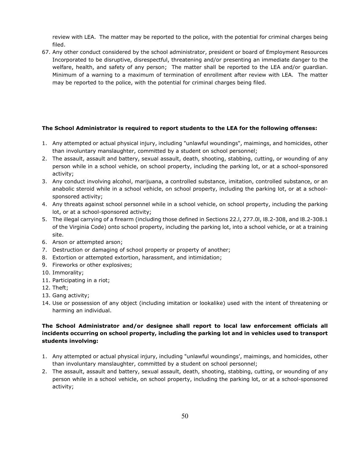review with LEA. The matter may be reported to the police, with the potential for criminal charges being filed.

67. Any other conduct considered by the school administrator, president or board of Employment Resources Incorporated to be disruptive, disrespectful, threatening and/or presenting an immediate danger to the welfare, health, and safety of any person; The matter shall be reported to the LEA and/or guardian. Minimum of a warning to a maximum of termination of enrollment after review with LEA. The matter may be reported to the police, with the potential for criminal charges being filed.

#### **The School Administrator is required to report students to the LEA for the following offenses:**

- 1. Any attempted or actual physical injury, including "unlawful woundings", maimings, and homicides, other than involuntary manslaughter, committed by a student on school personnel;
- 2. The assault, assault and battery, sexual assault, death, shooting, stabbing, cutting, or wounding of any person while in a school vehicle, on school property, including the parking lot, or at a school-sponsored activity;
- 3. Any conduct involving alcohol, marijuana, a controlled substance, imitation, controlled substance, or an anabolic steroid while in a school vehicle, on school property, including the parking lot, or at a schoolsponsored activity;
- 4. Any threats against school personnel while in a school vehicle, on school property, including the parking lot, or at a school-sponsored activity;
- 5. The illegal carrying of a firearm (including those defined in Sections 22.l, 277.0l, l8.2-308, and l8.2-308.1 of the Virginia Code) onto school property, including the parking lot, into a school vehicle, or at a training site.
- 6. Arson or attempted arson;
- 7. Destruction or damaging of school property or property of another;
- 8. Extortion or attempted extortion, harassment, and intimidation;
- 9. Fireworks or other explosives;
- 10. Immorality;
- 11. Participating in a riot;
- 12. Theft;
- 13. Gang activity;
- 14. Use or possession of any object (including imitation or lookalike) used with the intent of threatening or harming an individual.

#### **The School Administrator and/or designee shall report to local law enforcement officials all incidents occurring on school property, including the parking lot and in vehicles used to transport students involving:**

- 1. Any attempted or actual physical injury, including "unlawful woundings', maimings, and homicides, other than involuntary manslaughter, committed by a student on school personnel;
- 2. The assault, assault and battery, sexual assault, death, shooting, stabbing, cutting, or wounding of any person while in a school vehicle, on school property, including the parking lot, or at a school-sponsored activity;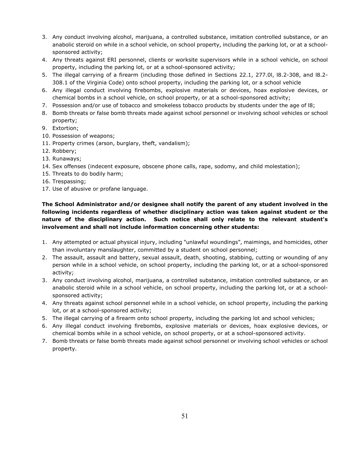- 3. Any conduct involving alcohol, marijuana, a controlled substance, imitation controlled substance, or an anabolic steroid on while in a school vehicle, on school property, including the parking lot, or at a schoolsponsored activity;
- 4. Any threats against ERI personnel, clients or worksite supervisors while in a school vehicle, on school property, including the parking lot, or at a school-sponsored activity;
- 5. The illegal carrying of a firearm (including those defined in Sections 22.1, 277.0l, l8.2-308, and l8.2- 308.1 of the Virginia Code) onto school property, including the parking lot, or a school vehicle
- 6. Any illegal conduct involving firebombs, explosive materials or devices, hoax explosive devices, or chemical bombs in a school vehicle, on school property, or at a school-sponsored activity;
- 7. Possession and/or use of tobacco and smokeless tobacco products by students under the age of l8;
- 8. Bomb threats or false bomb threats made against school personnel or involving school vehicles or school property;
- 9. Extortion;
- 10. Possession of weapons;
- 11. Property crimes (arson, burglary, theft, vandalism);
- 12. Robbery;
- 13. Runaways;
- 14. Sex offenses (indecent exposure, obscene phone calls, rape, sodomy, and child molestation);
- 15. Threats to do bodily harm;
- 16. Trespassing;
- 17. Use of abusive or profane language.

#### **The School Administrator and/or designee shall notify the parent of any student involved in the following incidents regardless of whether disciplinary action was taken against student or the nature of the disciplinary action. Such notice shall only relate to the relevant student's involvement and shall not include information concerning other students:**

- 1. Any attempted or actual physical injury, including "unlawful woundings", maimings, and homicides, other than involuntary manslaughter, committed by a student on school personnel;
- 2. The assault, assault and battery, sexual assault, death, shooting, stabbing, cutting or wounding of any person while in a school vehicle, on school property, including the parking lot, or at a school-sponsored activity;
- 3. Any conduct involving alcohol, marijuana, a controlled substance, imitation controlled substance, or an anabolic steroid while in a school vehicle, on school property, including the parking lot, or at a schoolsponsored activity;
- 4. Any threats against school personnel while in a school vehicle, on school property, including the parking lot, or at a school-sponsored activity;
- 5. The illegal carrying of a firearm onto school property, including the parking lot and school vehicles;
- 6. Any illegal conduct involving firebombs, explosive materials or devices, hoax explosive devices, or chemical bombs while in a school vehicle, on school property, or at a school-sponsored activity.
- 7. Bomb threats or false bomb threats made against school personnel or involving school vehicles or school property.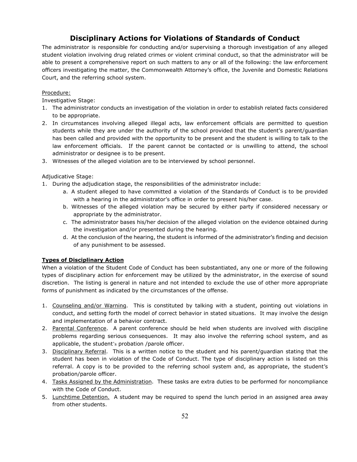### **Disciplinary Actions for Violations of Standards of Conduct**

The administrator is responsible for conducting and/or supervising a thorough investigation of any alleged student violation involving drug related crimes or violent criminal conduct, so that the administrator will be able to present a comprehensive report on such matters to any or all of the following: the law enforcement officers investigating the matter, the Commonwealth Attorney's office, the Juvenile and Domestic Relations Court, and the referring school system.

#### Procedure:

Investigative Stage:

- 1. The administrator conducts an investigation of the violation in order to establish related facts considered to be appropriate.
- 2. In circumstances involving alleged illegal acts, law enforcement officials are permitted to question students while they are under the authority of the school provided that the student's parent/guardian has been called and provided with the opportunity to be present and the student is willing to talk to the law enforcement officials. If the parent cannot be contacted or is unwilling to attend, the school administrator or designee is to be present.
- 3. Witnesses of the alleged violation are to be interviewed by school personnel.

#### Adjudicative Stage:

- 1. During the adjudication stage, the responsibilities of the administrator include:
	- a. A student alleged to have committed a violation of the Standards of Conduct is to be provided with a hearing in the administrator's office in order to present his/her case.
	- b. Witnesses of the alleged violation may be secured by either party if considered necessary or appropriate by the administrator.
	- c. The administrator bases his/her decision of the alleged violation on the evidence obtained during the investigation and/or presented during the hearing.
	- d. At the conclusion of the hearing, the student is informed of the administrator's finding and decision of any punishment to be assessed.

#### **Types of Disciplinary Action**

When a violation of the Student Code of Conduct has been substantiated, any one or more of the following types of disciplinary action for enforcement may be utilized by the administrator, in the exercise of sound discretion. The listing is general in nature and not intended to exclude the use of other more appropriate forms of punishment as indicated by the circumstances of the offense.

- 1. Counseling and/or Warning. This is constituted by talking with a student, pointing out violations in conduct, and setting forth the model of correct behavior in stated situations. It may involve the design and implementation of a behavior contract.
- 2. Parental Conference. A parent conference should be held when students are involved with discipline problems regarding serious consequences. It may also involve the referring school system, and as applicable, the student's probation /parole officer.
- 3. Disciplinary Referral. This is a written notice to the student and his parent/guardian stating that the student has been in violation of the Code of Conduct. The type of disciplinary action is listed on this referral. A copy is to be provided to the referring school system and, as appropriate, the student's probation/parole officer.
- 4. Tasks Assigned by the Administration. These tasks are extra duties to be performed for noncompliance with the Code of Conduct.
- 5. Lunchtime Detention. A student may be required to spend the lunch period in an assigned area away from other students.